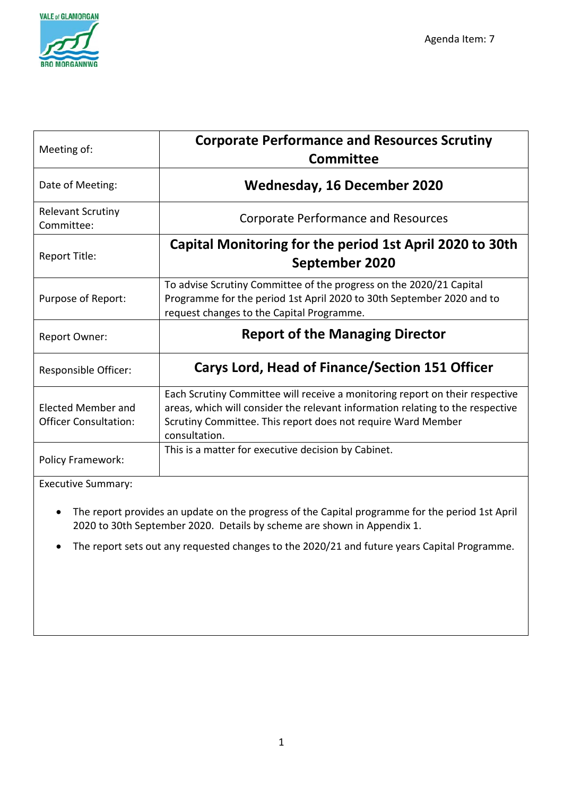

| Meeting of:                                        | <b>Corporate Performance and Resources Scrutiny</b><br><b>Committee</b>                                                                                                                                                                         |
|----------------------------------------------------|-------------------------------------------------------------------------------------------------------------------------------------------------------------------------------------------------------------------------------------------------|
| Date of Meeting:                                   | <b>Wednesday, 16 December 2020</b>                                                                                                                                                                                                              |
| <b>Relevant Scrutiny</b><br>Committee:             | <b>Corporate Performance and Resources</b>                                                                                                                                                                                                      |
| Report Title:                                      | Capital Monitoring for the period 1st April 2020 to 30th<br>September 2020                                                                                                                                                                      |
| Purpose of Report:                                 | To advise Scrutiny Committee of the progress on the 2020/21 Capital<br>Programme for the period 1st April 2020 to 30th September 2020 and to<br>request changes to the Capital Programme.                                                       |
| <b>Report Owner:</b>                               | <b>Report of the Managing Director</b>                                                                                                                                                                                                          |
| Responsible Officer:                               | <b>Carys Lord, Head of Finance/Section 151 Officer</b>                                                                                                                                                                                          |
| Elected Member and<br><b>Officer Consultation:</b> | Each Scrutiny Committee will receive a monitoring report on their respective<br>areas, which will consider the relevant information relating to the respective<br>Scrutiny Committee. This report does not require Ward Member<br>consultation. |
| <b>Policy Framework:</b>                           | This is a matter for executive decision by Cabinet.                                                                                                                                                                                             |
| $E_{VOPU}$ tivo Cummanu                            |                                                                                                                                                                                                                                                 |

Executive Summary:

- The report provides an update on the progress of the Capital programme for the period 1st April 2020 to 30th September 2020. Details by scheme are shown in Appendix 1.
- The report sets out any requested changes to the 2020/21 and future years Capital Programme.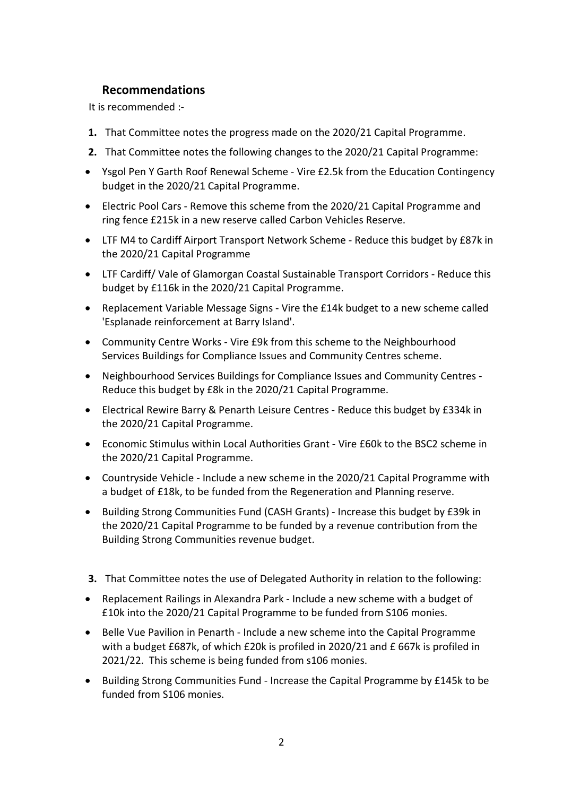## **Recommendations**

It is recommended :-

- **1.** That Committee notes the progress made on the 2020/21 Capital Programme.
- **2.** That Committee notes the following changes to the 2020/21 Capital Programme:
- Ysgol Pen Y Garth Roof Renewal Scheme Vire £2.5k from the Education Contingency budget in the 2020/21 Capital Programme.
- Electric Pool Cars Remove this scheme from the 2020/21 Capital Programme and ring fence £215k in a new reserve called Carbon Vehicles Reserve.
- LTF M4 to Cardiff Airport Transport Network Scheme Reduce this budget by £87k in the 2020/21 Capital Programme
- LTF Cardiff/ Vale of Glamorgan Coastal Sustainable Transport Corridors Reduce this budget by £116k in the 2020/21 Capital Programme.
- Replacement Variable Message Signs Vire the £14k budget to a new scheme called 'Esplanade reinforcement at Barry Island'.
- Community Centre Works Vire £9k from this scheme to the Neighbourhood Services Buildings for Compliance Issues and Community Centres scheme.
- Neighbourhood Services Buildings for Compliance Issues and Community Centres Reduce this budget by £8k in the 2020/21 Capital Programme.
- Electrical Rewire Barry & Penarth Leisure Centres Reduce this budget by £334k in the 2020/21 Capital Programme.
- Economic Stimulus within Local Authorities Grant Vire £60k to the BSC2 scheme in the 2020/21 Capital Programme.
- Countryside Vehicle Include a new scheme in the 2020/21 Capital Programme with a budget of £18k, to be funded from the Regeneration and Planning reserve.
- Building Strong Communities Fund (CASH Grants) Increase this budget by £39k in the 2020/21 Capital Programme to be funded by a revenue contribution from the Building Strong Communities revenue budget.
- **3.** That Committee notes the use of Delegated Authority in relation to the following:
- Replacement Railings in Alexandra Park Include a new scheme with a budget of £10k into the 2020/21 Capital Programme to be funded from S106 monies.
- Belle Vue Pavilion in Penarth Include a new scheme into the Capital Programme with a budget £687k, of which £20k is profiled in 2020/21 and £ 667k is profiled in 2021/22. This scheme is being funded from s106 monies.
- Building Strong Communities Fund Increase the Capital Programme by £145k to be funded from S106 monies.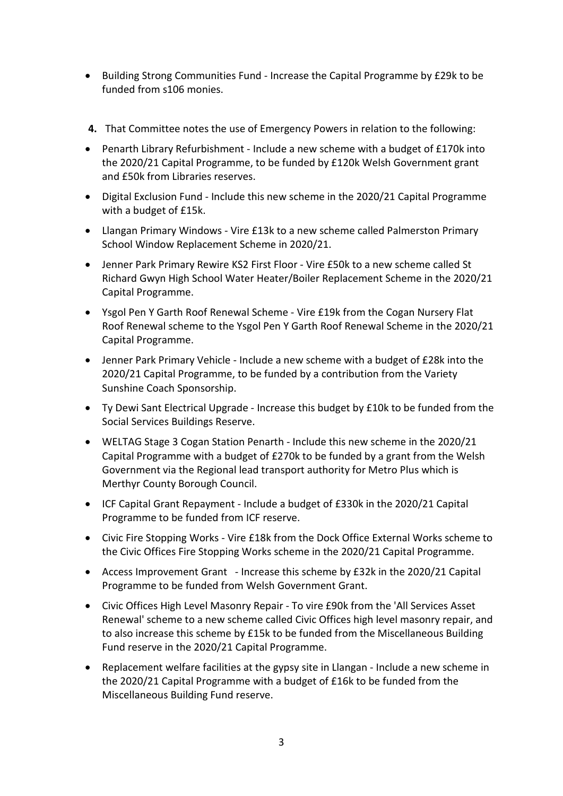- Building Strong Communities Fund Increase the Capital Programme by £29k to be funded from s106 monies.
- **4.** That Committee notes the use of Emergency Powers in relation to the following:
- Penarth Library Refurbishment Include a new scheme with a budget of £170k into the 2020/21 Capital Programme, to be funded by £120k Welsh Government grant and £50k from Libraries reserves.
- Digital Exclusion Fund Include this new scheme in the 2020/21 Capital Programme with a budget of £15k.
- Llangan Primary Windows Vire £13k to a new scheme called Palmerston Primary School Window Replacement Scheme in 2020/21.
- Jenner Park Primary Rewire KS2 First Floor Vire £50k to a new scheme called St Richard Gwyn High School Water Heater/Boiler Replacement Scheme in the 2020/21 Capital Programme.
- Ysgol Pen Y Garth Roof Renewal Scheme Vire £19k from the Cogan Nursery Flat Roof Renewal scheme to the Ysgol Pen Y Garth Roof Renewal Scheme in the 2020/21 Capital Programme.
- Jenner Park Primary Vehicle Include a new scheme with a budget of £28k into the 2020/21 Capital Programme, to be funded by a contribution from the Variety Sunshine Coach Sponsorship.
- Ty Dewi Sant Electrical Upgrade Increase this budget by £10k to be funded from the Social Services Buildings Reserve.
- WELTAG Stage 3 Cogan Station Penarth Include this new scheme in the 2020/21 Capital Programme with a budget of £270k to be funded by a grant from the Welsh Government via the Regional lead transport authority for Metro Plus which is Merthyr County Borough Council.
- ICF Capital Grant Repayment Include a budget of £330k in the 2020/21 Capital Programme to be funded from ICF reserve.
- Civic Fire Stopping Works Vire £18k from the Dock Office External Works scheme to the Civic Offices Fire Stopping Works scheme in the 2020/21 Capital Programme.
- Access Improvement Grant Increase this scheme by £32k in the 2020/21 Capital Programme to be funded from Welsh Government Grant.
- Civic Offices High Level Masonry Repair To vire £90k from the 'All Services Asset Renewal' scheme to a new scheme called Civic Offices high level masonry repair, and to also increase this scheme by £15k to be funded from the Miscellaneous Building Fund reserve in the 2020/21 Capital Programme.
- Replacement welfare facilities at the gypsy site in Llangan Include a new scheme in the 2020/21 Capital Programme with a budget of £16k to be funded from the Miscellaneous Building Fund reserve.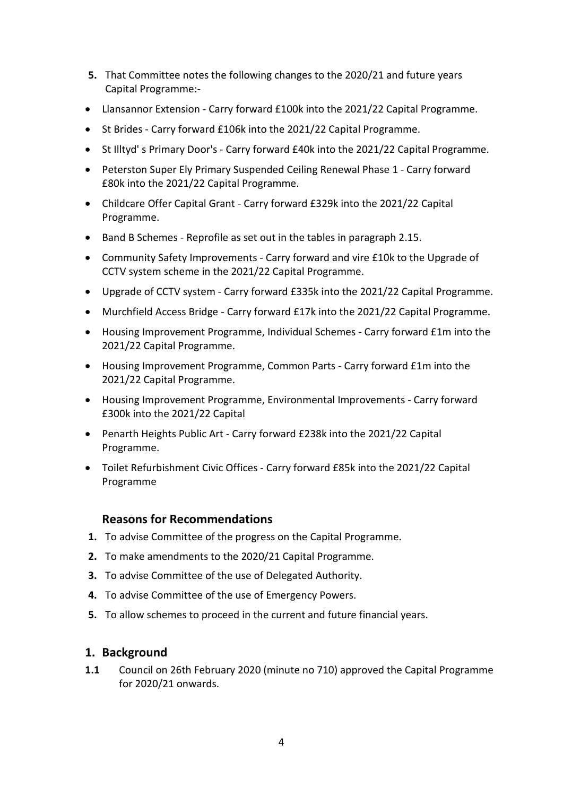- **5.** That Committee notes the following changes to the 2020/21 and future years Capital Programme:-
- Llansannor Extension Carry forward £100k into the 2021/22 Capital Programme.
- St Brides Carry forward £106k into the 2021/22 Capital Programme.
- St Illtyd' s Primary Door's Carry forward £40k into the 2021/22 Capital Programme.
- Peterston Super Ely Primary Suspended Ceiling Renewal Phase 1 Carry forward £80k into the 2021/22 Capital Programme.
- Childcare Offer Capital Grant Carry forward £329k into the 2021/22 Capital Programme.
- Band B Schemes Reprofile as set out in the tables in paragraph 2.15.
- Community Safety Improvements Carry forward and vire £10k to the Upgrade of CCTV system scheme in the 2021/22 Capital Programme.
- Upgrade of CCTV system Carry forward £335k into the 2021/22 Capital Programme.
- Murchfield Access Bridge Carry forward £17k into the 2021/22 Capital Programme.
- Housing Improvement Programme, Individual Schemes Carry forward £1m into the 2021/22 Capital Programme.
- Housing Improvement Programme, Common Parts Carry forward £1m into the 2021/22 Capital Programme.
- Housing Improvement Programme, Environmental Improvements Carry forward £300k into the 2021/22 Capital
- Penarth Heights Public Art Carry forward £238k into the 2021/22 Capital Programme.
- Toilet Refurbishment Civic Offices Carry forward £85k into the 2021/22 Capital Programme

## **Reasons for Recommendations**

- **1.** To advise Committee of the progress on the Capital Programme.
- **2.** To make amendments to the 2020/21 Capital Programme.
- **3.** To advise Committee of the use of Delegated Authority.
- **4.** To advise Committee of the use of Emergency Powers.
- **5.** To allow schemes to proceed in the current and future financial years.

### **1. Background**

**1.1** Council on 26th February 2020 (minute no 710) approved the Capital Programme for 2020/21 onwards.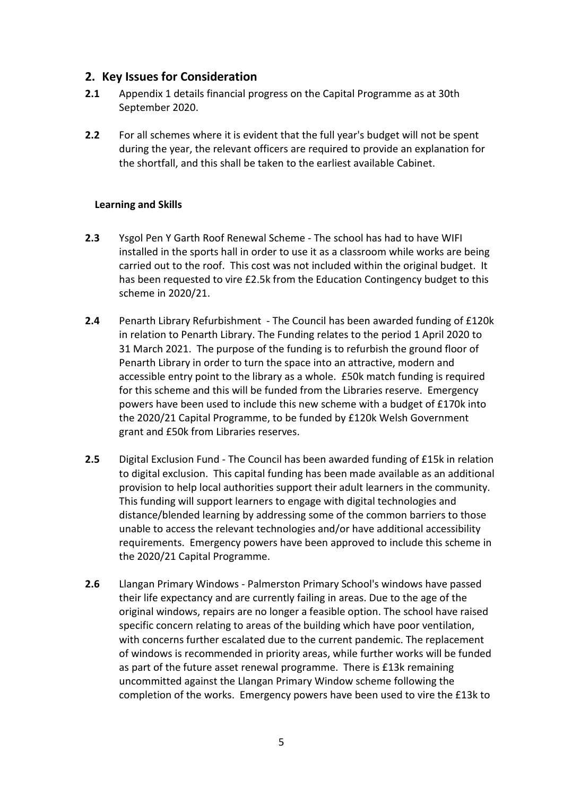### **2. Key Issues for Consideration**

- **2.1** Appendix 1 details financial progress on the Capital Programme as at 30th September 2020.
- **2.2** For all schemes where it is evident that the full year's budget will not be spent during the year, the relevant officers are required to provide an explanation for the shortfall, and this shall be taken to the earliest available Cabinet.

#### **Learning and Skills**

- **2.3** Ysgol Pen Y Garth Roof Renewal Scheme The school has had to have WIFI installed in the sports hall in order to use it as a classroom while works are being carried out to the roof. This cost was not included within the original budget. It has been requested to vire £2.5k from the Education Contingency budget to this scheme in 2020/21.
- **2.4** Penarth Library Refurbishment The Council has been awarded funding of £120k in relation to Penarth Library. The Funding relates to the period 1 April 2020 to 31 March 2021. The purpose of the funding is to refurbish the ground floor of Penarth Library in order to turn the space into an attractive, modern and accessible entry point to the library as a whole. £50k match funding is required for this scheme and this will be funded from the Libraries reserve. Emergency powers have been used to include this new scheme with a budget of £170k into the 2020/21 Capital Programme, to be funded by £120k Welsh Government grant and £50k from Libraries reserves.
- **2.5** Digital Exclusion Fund The Council has been awarded funding of £15k in relation to digital exclusion. This capital funding has been made available as an additional provision to help local authorities support their adult learners in the community. This funding will support learners to engage with digital technologies and distance/blended learning by addressing some of the common barriers to those unable to access the relevant technologies and/or have additional accessibility requirements. Emergency powers have been approved to include this scheme in the 2020/21 Capital Programme.
- **2.6** Llangan Primary Windows Palmerston Primary School's windows have passed their life expectancy and are currently failing in areas. Due to the age of the original windows, repairs are no longer a feasible option. The school have raised specific concern relating to areas of the building which have poor ventilation, with concerns further escalated due to the current pandemic. The replacement of windows is recommended in priority areas, while further works will be funded as part of the future asset renewal programme. There is £13k remaining uncommitted against the Llangan Primary Window scheme following the completion of the works. Emergency powers have been used to vire the £13k to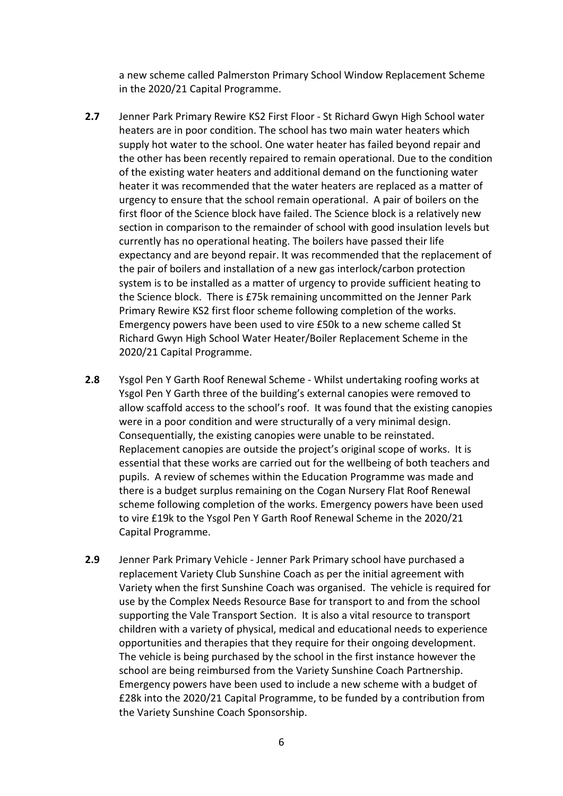a new scheme called Palmerston Primary School Window Replacement Scheme in the 2020/21 Capital Programme.

- **2.7** Jenner Park Primary Rewire KS2 First Floor St Richard Gwyn High School water heaters are in poor condition. The school has two main water heaters which supply hot water to the school. One water heater has failed beyond repair and the other has been recently repaired to remain operational. Due to the condition of the existing water heaters and additional demand on the functioning water heater it was recommended that the water heaters are replaced as a matter of urgency to ensure that the school remain operational. A pair of boilers on the first floor of the Science block have failed. The Science block is a relatively new section in comparison to the remainder of school with good insulation levels but currently has no operational heating. The boilers have passed their life expectancy and are beyond repair. It was recommended that the replacement of the pair of boilers and installation of a new gas interlock/carbon protection system is to be installed as a matter of urgency to provide sufficient heating to the Science block. There is £75k remaining uncommitted on the Jenner Park Primary Rewire KS2 first floor scheme following completion of the works. Emergency powers have been used to vire £50k to a new scheme called St Richard Gwyn High School Water Heater/Boiler Replacement Scheme in the 2020/21 Capital Programme.
- **2.8** Ysgol Pen Y Garth Roof Renewal Scheme Whilst undertaking roofing works at Ysgol Pen Y Garth three of the building's external canopies were removed to allow scaffold access to the school's roof. It was found that the existing canopies were in a poor condition and were structurally of a very minimal design. Consequentially, the existing canopies were unable to be reinstated. Replacement canopies are outside the project's original scope of works. It is essential that these works are carried out for the wellbeing of both teachers and pupils. A review of schemes within the Education Programme was made and there is a budget surplus remaining on the Cogan Nursery Flat Roof Renewal scheme following completion of the works. Emergency powers have been used to vire £19k to the Ysgol Pen Y Garth Roof Renewal Scheme in the 2020/21 Capital Programme.
- **2.9** Jenner Park Primary Vehicle Jenner Park Primary school have purchased a replacement Variety Club Sunshine Coach as per the initial agreement with Variety when the first Sunshine Coach was organised. The vehicle is required for use by the Complex Needs Resource Base for transport to and from the school supporting the Vale Transport Section. It is also a vital resource to transport children with a variety of physical, medical and educational needs to experience opportunities and therapies that they require for their ongoing development. The vehicle is being purchased by the school in the first instance however the school are being reimbursed from the Variety Sunshine Coach Partnership. Emergency powers have been used to include a new scheme with a budget of £28k into the 2020/21 Capital Programme, to be funded by a contribution from the Variety Sunshine Coach Sponsorship.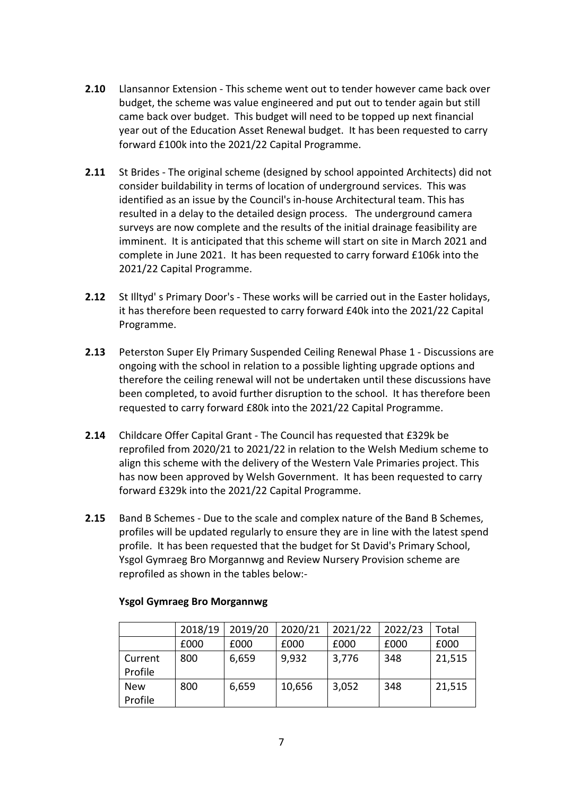- **2.10** Llansannor Extension This scheme went out to tender however came back over budget, the scheme was value engineered and put out to tender again but still came back over budget. This budget will need to be topped up next financial year out of the Education Asset Renewal budget. It has been requested to carry forward £100k into the 2021/22 Capital Programme.
- **2.11** St Brides The original scheme (designed by school appointed Architects) did not consider buildability in terms of location of underground services. This was identified as an issue by the Council's in-house Architectural team. This has resulted in a delay to the detailed design process. The underground camera surveys are now complete and the results of the initial drainage feasibility are imminent. It is anticipated that this scheme will start on site in March 2021 and complete in June 2021. It has been requested to carry forward £106k into the 2021/22 Capital Programme.
- **2.12** St Illtyd' s Primary Door's These works will be carried out in the Easter holidays, it has therefore been requested to carry forward £40k into the 2021/22 Capital Programme.
- **2.13** Peterston Super Ely Primary Suspended Ceiling Renewal Phase 1 Discussions are ongoing with the school in relation to a possible lighting upgrade options and therefore the ceiling renewal will not be undertaken until these discussions have been completed, to avoid further disruption to the school. It has therefore been requested to carry forward £80k into the 2021/22 Capital Programme.
- **2.14** Childcare Offer Capital Grant The Council has requested that £329k be reprofiled from 2020/21 to 2021/22 in relation to the Welsh Medium scheme to align this scheme with the delivery of the Western Vale Primaries project. This has now been approved by Welsh Government. It has been requested to carry forward £329k into the 2021/22 Capital Programme.
- **2.15** Band B Schemes Due to the scale and complex nature of the Band B Schemes, profiles will be updated regularly to ensure they are in line with the latest spend profile. It has been requested that the budget for St David's Primary School, Ysgol Gymraeg Bro Morgannwg and Review Nursery Provision scheme are reprofiled as shown in the tables below:-

|                       | 2018/19 | 2019/20 | 2020/21 | 2021/22 | 2022/23 | Total  |
|-----------------------|---------|---------|---------|---------|---------|--------|
|                       | £000    | £000    | £000    | £000    | £000    | £000   |
| Current<br>Profile    | 800     | 6,659   | 9,932   | 3,776   | 348     | 21,515 |
| <b>New</b><br>Profile | 800     | 6,659   | 10,656  | 3,052   | 348     | 21,515 |

#### **Ysgol Gymraeg Bro Morgannwg**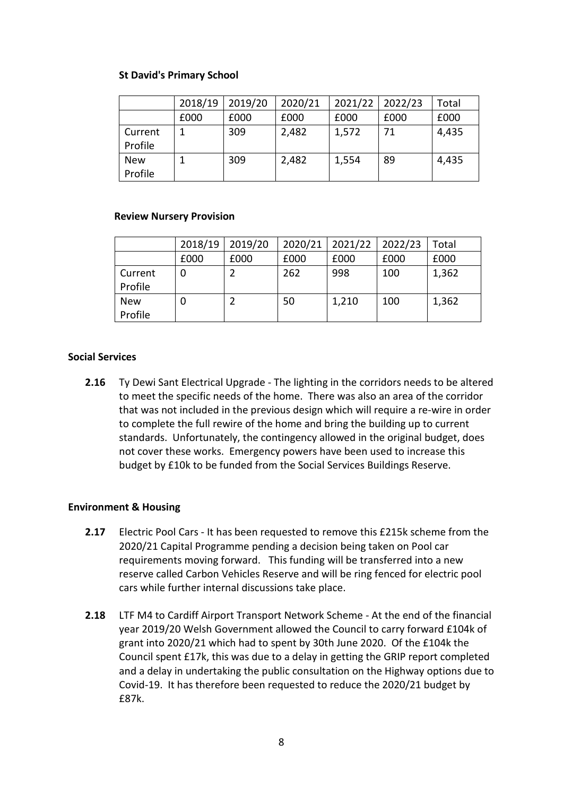#### **St David's Primary School**

|                       | 2018/19 | 2019/20 | 2020/21 | 2021/22 | 2022/23 | Total |
|-----------------------|---------|---------|---------|---------|---------|-------|
|                       | £000    | £000    | £000    | £000    | £000    | £000  |
| Current<br>Profile    |         | 309     | 2,482   | 1,572   | 71      | 4,435 |
| <b>New</b><br>Profile |         | 309     | 2,482   | 1,554   | 89      | 4,435 |

#### **Review Nursery Provision**

|                       | 2018/19 | 2019/20 | 2020/21 | 2021/22 | 2022/23 | Total |
|-----------------------|---------|---------|---------|---------|---------|-------|
|                       | £000    | £000    | £000    | £000    | £000    | £000  |
| Current<br>Profile    | 0       |         | 262     | 998     | 100     | 1,362 |
| <b>New</b><br>Profile | O       |         | 50      | 1,210   | 100     | 1,362 |

#### **Social Services**

**2.16** Ty Dewi Sant Electrical Upgrade - The lighting in the corridors needs to be altered to meet the specific needs of the home. There was also an area of the corridor that was not included in the previous design which will require a re-wire in order to complete the full rewire of the home and bring the building up to current standards. Unfortunately, the contingency allowed in the original budget, does not cover these works. Emergency powers have been used to increase this budget by £10k to be funded from the Social Services Buildings Reserve.

#### **Environment & Housing**

- **2.17** Electric Pool Cars It has been requested to remove this £215k scheme from the 2020/21 Capital Programme pending a decision being taken on Pool car requirements moving forward. This funding will be transferred into a new reserve called Carbon Vehicles Reserve and will be ring fenced for electric pool cars while further internal discussions take place.
- **2.18** LTF M4 to Cardiff Airport Transport Network Scheme At the end of the financial year 2019/20 Welsh Government allowed the Council to carry forward £104k of grant into 2020/21 which had to spent by 30th June 2020. Of the £104k the Council spent £17k, this was due to a delay in getting the GRIP report completed and a delay in undertaking the public consultation on the Highway options due to Covid-19. It has therefore been requested to reduce the 2020/21 budget by £87k.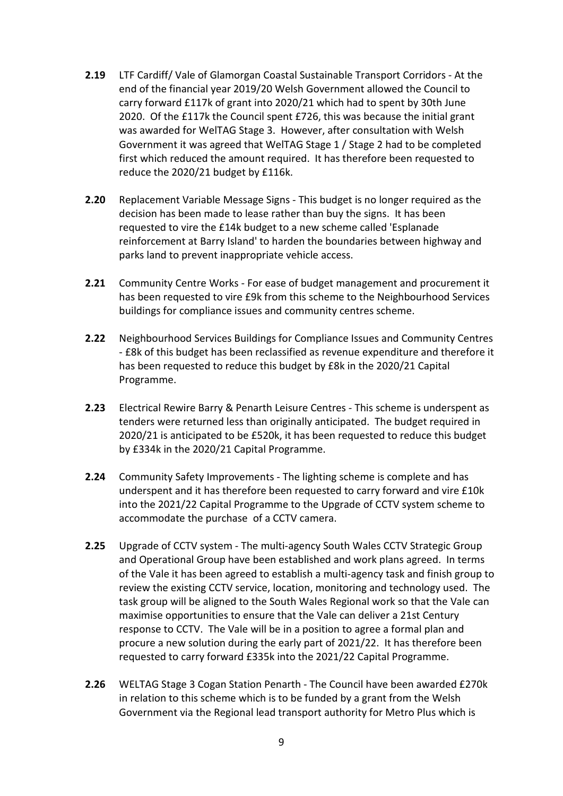- **2.19** LTF Cardiff/ Vale of Glamorgan Coastal Sustainable Transport Corridors At the end of the financial year 2019/20 Welsh Government allowed the Council to carry forward £117k of grant into 2020/21 which had to spent by 30th June 2020. Of the £117k the Council spent £726, this was because the initial grant was awarded for WelTAG Stage 3. However, after consultation with Welsh Government it was agreed that WelTAG Stage 1 / Stage 2 had to be completed first which reduced the amount required. It has therefore been requested to reduce the 2020/21 budget by £116k.
- **2.20** Replacement Variable Message Signs This budget is no longer required as the decision has been made to lease rather than buy the signs. It has been requested to vire the £14k budget to a new scheme called 'Esplanade reinforcement at Barry Island' to harden the boundaries between highway and parks land to prevent inappropriate vehicle access.
- **2.21** Community Centre Works For ease of budget management and procurement it has been requested to vire £9k from this scheme to the Neighbourhood Services buildings for compliance issues and community centres scheme.
- **2.22** Neighbourhood Services Buildings for Compliance Issues and Community Centres - £8k of this budget has been reclassified as revenue expenditure and therefore it has been requested to reduce this budget by £8k in the 2020/21 Capital Programme.
- **2.23** Electrical Rewire Barry & Penarth Leisure Centres This scheme is underspent as tenders were returned less than originally anticipated. The budget required in 2020/21 is anticipated to be £520k, it has been requested to reduce this budget by £334k in the 2020/21 Capital Programme.
- **2.24** Community Safety Improvements The lighting scheme is complete and has underspent and it has therefore been requested to carry forward and vire £10k into the 2021/22 Capital Programme to the Upgrade of CCTV system scheme to accommodate the purchase of a CCTV camera.
- **2.25** Upgrade of CCTV system The multi-agency South Wales CCTV Strategic Group and Operational Group have been established and work plans agreed. In terms of the Vale it has been agreed to establish a multi-agency task and finish group to review the existing CCTV service, location, monitoring and technology used. The task group will be aligned to the South Wales Regional work so that the Vale can maximise opportunities to ensure that the Vale can deliver a 21st Century response to CCTV. The Vale will be in a position to agree a formal plan and procure a new solution during the early part of 2021/22. It has therefore been requested to carry forward £335k into the 2021/22 Capital Programme.
- **2.26** WELTAG Stage 3 Cogan Station Penarth The Council have been awarded £270k in relation to this scheme which is to be funded by a grant from the Welsh Government via the Regional lead transport authority for Metro Plus which is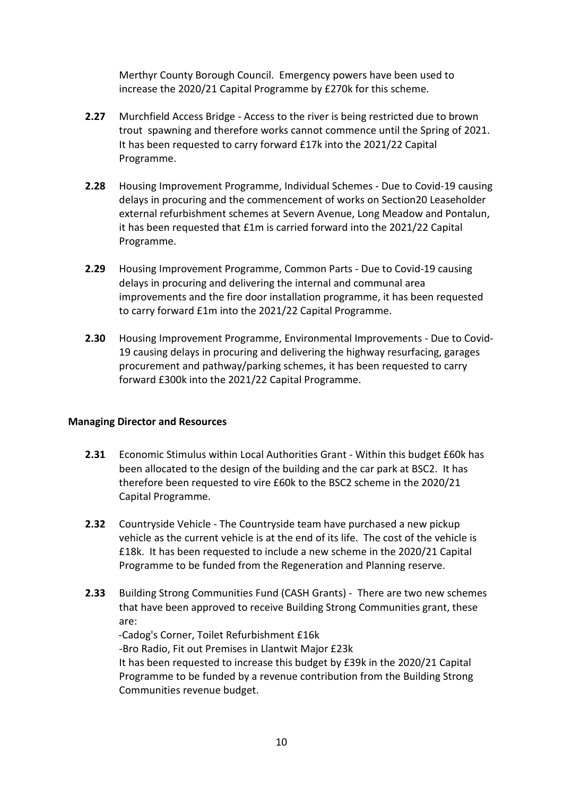Merthyr County Borough Council. Emergency powers have been used to increase the 2020/21 Capital Programme by £270k for this scheme.

- **2.27** Murchfield Access Bridge Access to the river is being restricted due to brown trout spawning and therefore works cannot commence until the Spring of 2021. It has been requested to carry forward £17k into the 2021/22 Capital Programme.
- **2.28** Housing Improvement Programme, Individual Schemes Due to Covid-19 causing delays in procuring and the commencement of works on Section20 Leaseholder external refurbishment schemes at Severn Avenue, Long Meadow and Pontalun, it has been requested that £1m is carried forward into the 2021/22 Capital Programme.
- **2.29** Housing Improvement Programme, Common Parts Due to Covid-19 causing delays in procuring and delivering the internal and communal area improvements and the fire door installation programme, it has been requested to carry forward £1m into the 2021/22 Capital Programme.
- **2.30** Housing Improvement Programme, Environmental Improvements Due to Covid-19 causing delays in procuring and delivering the highway resurfacing, garages procurement and pathway/parking schemes, it has been requested to carry forward £300k into the 2021/22 Capital Programme.

#### **Managing Director and Resources**

- **2.31** Economic Stimulus within Local Authorities Grant Within this budget £60k has been allocated to the design of the building and the car park at BSC2. It has therefore been requested to vire £60k to the BSC2 scheme in the 2020/21 Capital Programme.
- **2.32** Countryside Vehicle The Countryside team have purchased a new pickup vehicle as the current vehicle is at the end of its life. The cost of the vehicle is £18k. It has been requested to include a new scheme in the 2020/21 Capital Programme to be funded from the Regeneration and Planning reserve.
- **2.33** Building Strong Communities Fund (CASH Grants) There are two new schemes that have been approved to receive Building Strong Communities grant, these are:

 -Cadog's Corner, Toilet Refurbishment £16k -Bro Radio, Fit out Premises in Llantwit Major £23k It has been requested to increase this budget by £39k in the 2020/21 Capital Programme to be funded by a revenue contribution from the Building Strong Communities revenue budget.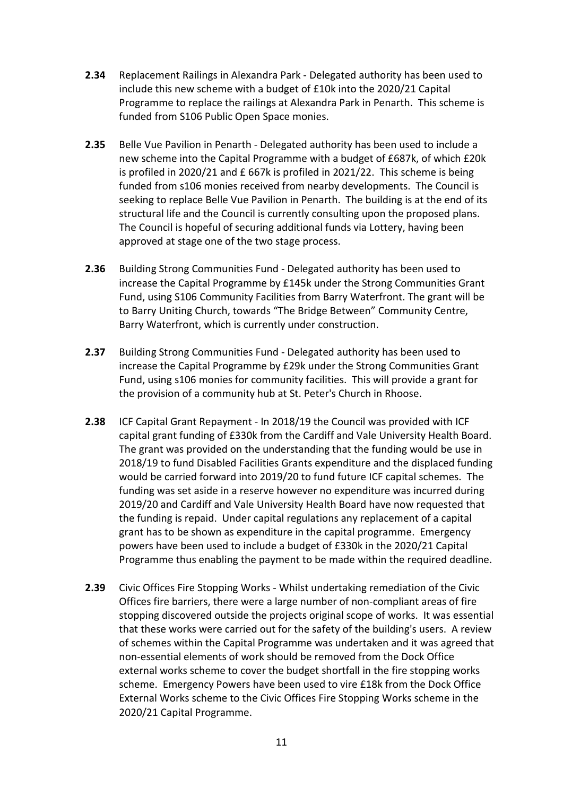- **2.34** Replacement Railings in Alexandra Park Delegated authority has been used to include this new scheme with a budget of £10k into the 2020/21 Capital Programme to replace the railings at Alexandra Park in Penarth. This scheme is funded from S106 Public Open Space monies.
- **2.35** Belle Vue Pavilion in Penarth Delegated authority has been used to include a new scheme into the Capital Programme with a budget of £687k, of which £20k is profiled in 2020/21 and £ 667k is profiled in 2021/22. This scheme is being funded from s106 monies received from nearby developments. The Council is seeking to replace Belle Vue Pavilion in Penarth. The building is at the end of its structural life and the Council is currently consulting upon the proposed plans. The Council is hopeful of securing additional funds via Lottery, having been approved at stage one of the two stage process.
- **2.36** Building Strong Communities Fund Delegated authority has been used to increase the Capital Programme by £145k under the Strong Communities Grant Fund, using S106 Community Facilities from Barry Waterfront. The grant will be to Barry Uniting Church, towards "The Bridge Between" Community Centre, Barry Waterfront, which is currently under construction.
- **2.37** Building Strong Communities Fund Delegated authority has been used to increase the Capital Programme by £29k under the Strong Communities Grant Fund, using s106 monies for community facilities. This will provide a grant for the provision of a community hub at St. Peter's Church in Rhoose.
- **2.38** ICF Capital Grant Repayment In 2018/19 the Council was provided with ICF capital grant funding of £330k from the Cardiff and Vale University Health Board. The grant was provided on the understanding that the funding would be use in 2018/19 to fund Disabled Facilities Grants expenditure and the displaced funding would be carried forward into 2019/20 to fund future ICF capital schemes. The funding was set aside in a reserve however no expenditure was incurred during 2019/20 and Cardiff and Vale University Health Board have now requested that the funding is repaid. Under capital regulations any replacement of a capital grant has to be shown as expenditure in the capital programme. Emergency powers have been used to include a budget of £330k in the 2020/21 Capital Programme thus enabling the payment to be made within the required deadline.
- **2.39** Civic Offices Fire Stopping Works Whilst undertaking remediation of the Civic Offices fire barriers, there were a large number of non-compliant areas of fire stopping discovered outside the projects original scope of works. It was essential that these works were carried out for the safety of the building's users. A review of schemes within the Capital Programme was undertaken and it was agreed that non-essential elements of work should be removed from the Dock Office external works scheme to cover the budget shortfall in the fire stopping works scheme. Emergency Powers have been used to vire £18k from the Dock Office External Works scheme to the Civic Offices Fire Stopping Works scheme in the 2020/21 Capital Programme.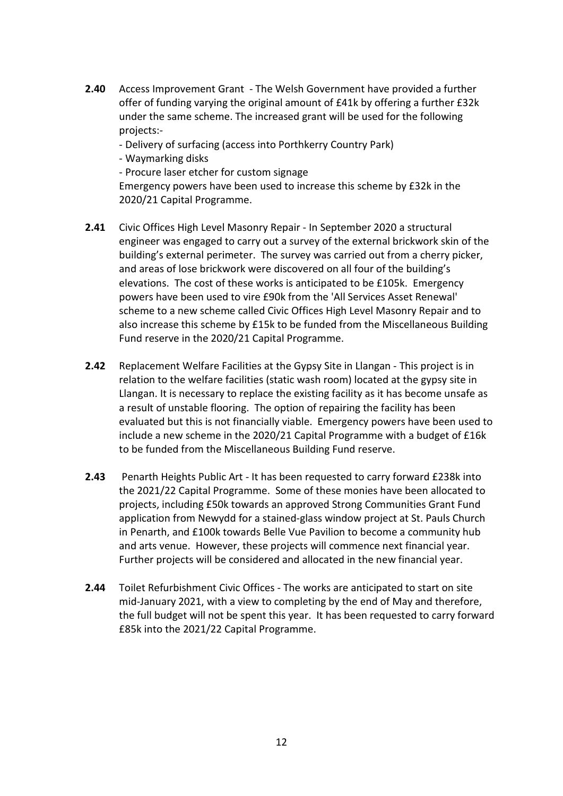- **2.40** Access Improvement Grant The Welsh Government have provided a further offer of funding varying the original amount of £41k by offering a further £32k under the same scheme. The increased grant will be used for the following projects:-
	- Delivery of surfacing (access into Porthkerry Country Park)
	- Waymarking disks
	- Procure laser etcher for custom signage

Emergency powers have been used to increase this scheme by £32k in the 2020/21 Capital Programme.

- **2.41** Civic Offices High Level Masonry Repair In September 2020 a structural engineer was engaged to carry out a survey of the external brickwork skin of the building's external perimeter. The survey was carried out from a cherry picker, and areas of lose brickwork were discovered on all four of the building's elevations. The cost of these works is anticipated to be £105k. Emergency powers have been used to vire £90k from the 'All Services Asset Renewal' scheme to a new scheme called Civic Offices High Level Masonry Repair and to also increase this scheme by £15k to be funded from the Miscellaneous Building Fund reserve in the 2020/21 Capital Programme.
- **2.42** Replacement Welfare Facilities at the Gypsy Site in Llangan This project is in relation to the welfare facilities (static wash room) located at the gypsy site in Llangan. It is necessary to replace the existing facility as it has become unsafe as a result of unstable flooring. The option of repairing the facility has been evaluated but this is not financially viable. Emergency powers have been used to include a new scheme in the 2020/21 Capital Programme with a budget of £16k to be funded from the Miscellaneous Building Fund reserve.
- **2.43** Penarth Heights Public Art It has been requested to carry forward £238k into the 2021/22 Capital Programme. Some of these monies have been allocated to projects, including £50k towards an approved Strong Communities Grant Fund application from Newydd for a stained-glass window project at St. Pauls Church in Penarth, and £100k towards Belle Vue Pavilion to become a community hub and arts venue. However, these projects will commence next financial year. Further projects will be considered and allocated in the new financial year.
- **2.44** Toilet Refurbishment Civic Offices The works are anticipated to start on site mid-January 2021, with a view to completing by the end of May and therefore, the full budget will not be spent this year. It has been requested to carry forward £85k into the 2021/22 Capital Programme.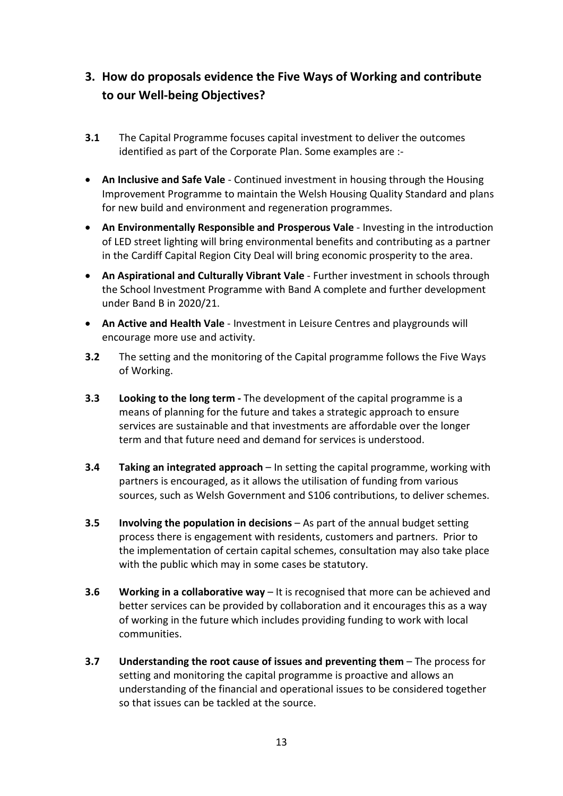# **3. How do proposals evidence the Five Ways of Working and contribute to our Well-being Objectives?**

- **3.1** The Capital Programme focuses capital investment to deliver the outcomes identified as part of the Corporate Plan. Some examples are :-
- **An Inclusive and Safe Vale** Continued investment in housing through the Housing Improvement Programme to maintain the Welsh Housing Quality Standard and plans for new build and environment and regeneration programmes.
- **An Environmentally Responsible and Prosperous Vale** Investing in the introduction of LED street lighting will bring environmental benefits and contributing as a partner in the Cardiff Capital Region City Deal will bring economic prosperity to the area.
- **An Aspirational and Culturally Vibrant Vale** Further investment in schools through the School Investment Programme with Band A complete and further development under Band B in 2020/21.
- **An Active and Health Vale** Investment in Leisure Centres and playgrounds will encourage more use and activity.
- **3.2** The setting and the monitoring of the Capital programme follows the Five Ways of Working.
- **3.3 Looking to the long term -** The development of the capital programme is a means of planning for the future and takes a strategic approach to ensure services are sustainable and that investments are affordable over the longer term and that future need and demand for services is understood.
- **3.4 Taking an integrated approach** In setting the capital programme, working with partners is encouraged, as it allows the utilisation of funding from various sources, such as Welsh Government and S106 contributions, to deliver schemes.
- **3.5 Involving the population in decisions** As part of the annual budget setting process there is engagement with residents, customers and partners. Prior to the implementation of certain capital schemes, consultation may also take place with the public which may in some cases be statutory.
- **3.6 Working in a collaborative way** It is recognised that more can be achieved and better services can be provided by collaboration and it encourages this as a way of working in the future which includes providing funding to work with local communities.
- **3.7 Understanding the root cause of issues and preventing them** The process for setting and monitoring the capital programme is proactive and allows an understanding of the financial and operational issues to be considered together so that issues can be tackled at the source.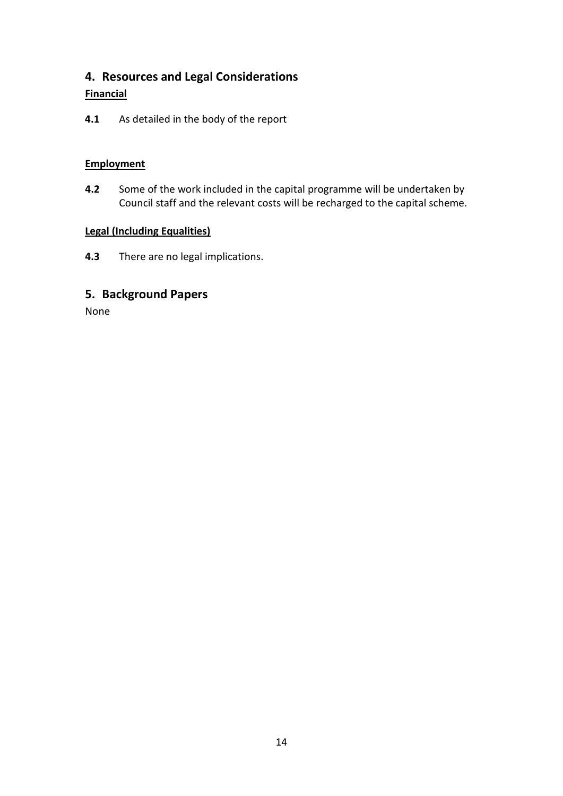# **4. Resources and Legal Considerations**

## **Financial**

**4.1** As detailed in the body of the report

## **Employment**

**4.2** Some of the work included in the capital programme will be undertaken by Council staff and the relevant costs will be recharged to the capital scheme.

### **Legal (Including Equalities)**

**4.3** There are no legal implications.

# **5. Background Papers**

None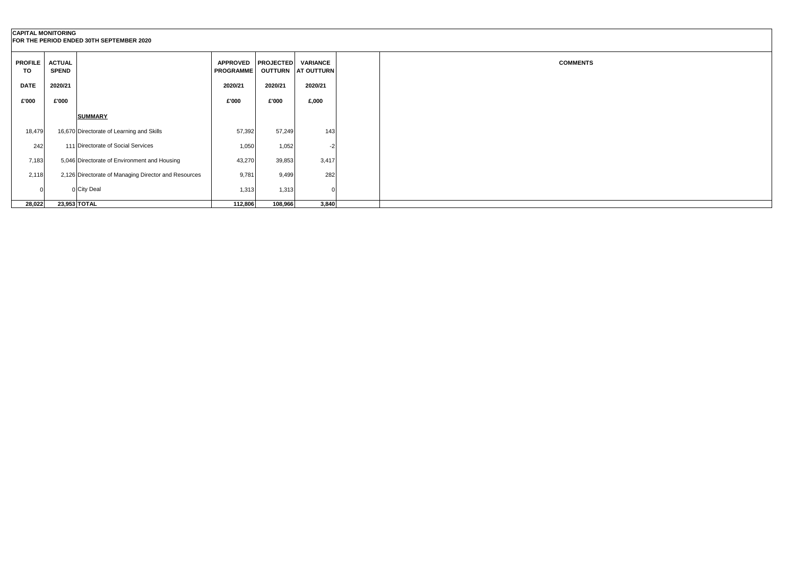| <b>CAPITAL MONITORING</b> |                               | FOR THE PERIOD ENDED 30TH SEPTEMBER 2020             |                                        |         |                                  |
|---------------------------|-------------------------------|------------------------------------------------------|----------------------------------------|---------|----------------------------------|
| <b>PROFILE</b><br>TO      | <b>ACTUAL</b><br><b>SPEND</b> |                                                      | APPROVED PROJECTED<br><b>PROGRAMME</b> |         | VARIANCE<br>OUTTURN   AT OUTTURN |
| <b>DATE</b>               | 2020/21                       |                                                      | 2020/21                                | 2020/21 | 2020/21                          |
| £'000                     | £'000                         |                                                      | £'000                                  | £'000   | £,000                            |
|                           |                               | <b>SUMMARY</b>                                       |                                        |         |                                  |
| 18,479                    |                               | 16,670 Directorate of Learning and Skills            | 57,392                                 | 57,249  | 143                              |
| 242                       |                               | 111 Directorate of Social Services                   | 1,050                                  | 1,052   |                                  |
| 7,183                     |                               | 5,046 Directorate of Environment and Housing         | 43,270                                 | 39,853  | 3,417                            |
| 2,118                     |                               | 2,126 Directorate of Managing Director and Resources | 9,781                                  | 9,499   | 282                              |
|                           |                               | 0 City Deal                                          | 1,313                                  | 1,313   |                                  |
| 28,022                    |                               | 23,953 TOTAL                                         | 112,806                                | 108,966 | 3,840                            |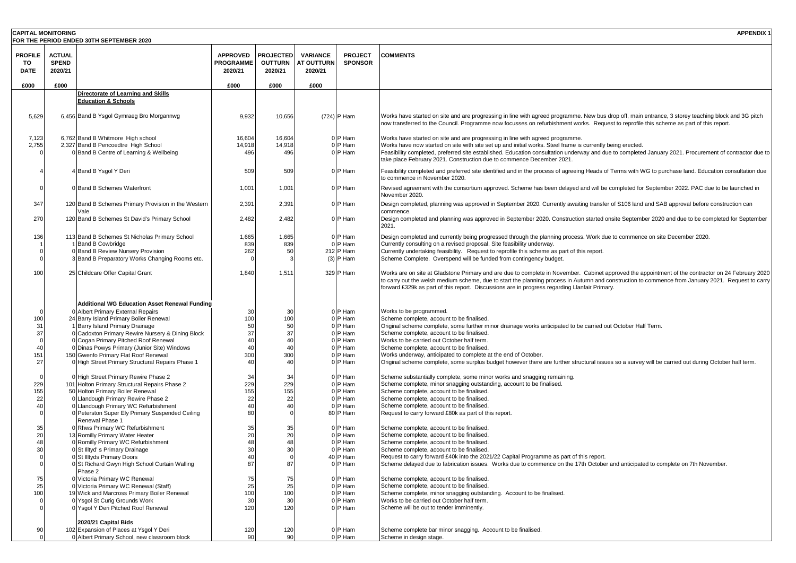| <b>CAPITAL MONITORING</b>           |                                          |                                                                                         |                                                |                                               |                                                 |                                  | <b>APPENDIX 1</b>                                                                                                                                                                                                                                                                                        |
|-------------------------------------|------------------------------------------|-----------------------------------------------------------------------------------------|------------------------------------------------|-----------------------------------------------|-------------------------------------------------|----------------------------------|----------------------------------------------------------------------------------------------------------------------------------------------------------------------------------------------------------------------------------------------------------------------------------------------------------|
|                                     |                                          | FOR THE PERIOD ENDED 30TH SEPTEMBER 2020                                                |                                                |                                               |                                                 |                                  |                                                                                                                                                                                                                                                                                                          |
| <b>PROFILE</b><br>TO<br><b>DATE</b> | <b>ACTUAL</b><br><b>SPEND</b><br>2020/21 |                                                                                         | <b>APPROVED</b><br><b>PROGRAMME</b><br>2020/21 | <b>PROJECTED</b><br><b>OUTTURN</b><br>2020/21 | <b>VARIANCE</b><br><b>AT OUTTURN</b><br>2020/21 | <b>PROJECT</b><br><b>SPONSOR</b> | <b>COMMENTS</b>                                                                                                                                                                                                                                                                                          |
| £000                                | £000                                     |                                                                                         | £000                                           | £000                                          | £000                                            |                                  |                                                                                                                                                                                                                                                                                                          |
|                                     |                                          | Directorate of Learning and Skills                                                      |                                                |                                               |                                                 |                                  |                                                                                                                                                                                                                                                                                                          |
|                                     |                                          | <b>Education &amp; Schools</b>                                                          |                                                |                                               |                                                 |                                  |                                                                                                                                                                                                                                                                                                          |
| 5,629                               |                                          | 6,456 Band B Ysgol Gymraeg Bro Morgannwg                                                | 9,932                                          | 10,656                                        |                                                 | (724) P Ham                      | Works have started on site and are progressing in line with agreed programme. New bus drop off, main entrance, 3 storey teaching block and 3G pitch<br>now transferred to the Council. Programme now focusses on refurbishment works. Request to reprofile this scheme as part of this report.           |
| 7,123                               |                                          | 6,762 Band B Whitmore High school                                                       | 16,604                                         | 16,604                                        |                                                 | 0 P Ham                          | Works have started on site and are progressing in line with agreed programme.                                                                                                                                                                                                                            |
| 2,755                               |                                          | 2,327 Band B Pencoedtre High School                                                     | 14,918                                         | 14,918                                        |                                                 | 0 P Ham                          | Works have now started on site with site set up and initial works. Steel frame is currently being erected.                                                                                                                                                                                               |
|                                     |                                          | 0 Band B Centre of Learning & Wellbeing                                                 | 496                                            | 496                                           |                                                 | 0 P Ham                          | Feasibility completed, preferred site established. Education consultation underway and due to completed January 2021. Procurement of contractor due to                                                                                                                                                   |
|                                     |                                          |                                                                                         |                                                |                                               |                                                 |                                  | take place February 2021. Construction due to commence December 2021.                                                                                                                                                                                                                                    |
|                                     |                                          | 4 Band B Ysgol Y Deri                                                                   | 509                                            | 509                                           |                                                 | 0 P Ham                          | Feasibility completed and preferred site identified and in the process of agreeing Heads of Terms with WG to purchase land. Education consultation due                                                                                                                                                   |
|                                     |                                          |                                                                                         |                                                |                                               |                                                 |                                  | to commence in November 2020.                                                                                                                                                                                                                                                                            |
|                                     |                                          | 0 Band B Schemes Waterfront                                                             | 1,001                                          | 1,001                                         |                                                 | 0 P Ham                          | Revised agreement with the consortium approved. Scheme has been delayed and will be completed for September 2022. PAC due to be launched in<br>November 2020.                                                                                                                                            |
| 347                                 |                                          | 120 Band B Schemes Primary Provision in the Western                                     | 2,391                                          | 2,391                                         |                                                 | 0 P Ham                          | Design completed, planning was approved in September 2020. Currently awaiting transfer of S106 land and SAB approval before construction can                                                                                                                                                             |
|                                     |                                          | Vale                                                                                    |                                                |                                               |                                                 |                                  | commence.                                                                                                                                                                                                                                                                                                |
| 270                                 |                                          | 120 Band B Schemes St David's Primary School                                            | 2,482                                          | 2,482                                         |                                                 | 0 P Ham                          | Design completed and planning was approved in September 2020. Construction started onsite September 2020 and due to be completed for September<br>2021.                                                                                                                                                  |
| 136                                 |                                          | 113 Band B Schemes St Nicholas Primary School                                           | 1,665                                          | 1,665                                         |                                                 | 0 P Ham                          | Design completed and currently being progressed through the planning process. Work due to commence on site December 2020.                                                                                                                                                                                |
|                                     |                                          | <b>Band B Cowbridge</b>                                                                 | 839                                            | 839                                           |                                                 | 0 P Ham                          | Currently consulting on a revised proposal. Site feasibility underway.                                                                                                                                                                                                                                   |
|                                     |                                          | 0 Band B Review Nursery Provision                                                       | 262                                            | 50                                            |                                                 | 212 P Ham                        | Currently undertaking feasibility. Request to reprofile this scheme as part of this report.                                                                                                                                                                                                              |
|                                     |                                          | 3 Band B Preparatory Works Changing Rooms etc.                                          |                                                |                                               |                                                 | $(3)$ P Ham                      | Scheme Complete. Overspend will be funded from contingency budget.                                                                                                                                                                                                                                       |
| 100                                 |                                          | 25 Childcare Offer Capital Grant                                                        | 1,840                                          | 1,511                                         |                                                 | 329 P Ham                        | Works are on site at Gladstone Primary and are due to complete in November. Cabinet approved the appointment of the contractor on 24 February 2020<br>to carry out the welsh medium scheme, due to start the planning process in Autumn and construction to commence from January 2021. Request to carry |
|                                     |                                          | <b>Additional WG Education Asset Renewal Funding</b>                                    |                                                |                                               |                                                 |                                  | forward £329k as part of this report. Discussions are in progress regarding Llanfair Primary.                                                                                                                                                                                                            |
| 100                                 |                                          | 0 Albert Primary External Repairs<br>24 Barry Island Primary Boiler Renewal             | 30<br>100                                      | 30<br>100                                     |                                                 | 0 P Ham<br>0 P Ham               | Works to be programmed.<br>Scheme complete, account to be finalised.                                                                                                                                                                                                                                     |
| 31                                  |                                          | 1 Barry Island Primary Drainage                                                         | 50                                             | 50                                            |                                                 | 0 P Ham                          | Original scheme complete, some further minor drainage works anticipated to be carried out October Half Term.                                                                                                                                                                                             |
| 37                                  |                                          | 0 Cadoxton Primary Rewire Nursery & Dining Block                                        | 37                                             | 37                                            |                                                 | 0 P Ham                          | Scheme complete, account to be finalised.                                                                                                                                                                                                                                                                |
|                                     |                                          | 0 Cogan Primary Pitched Roof Renewal                                                    | 40                                             | 40                                            |                                                 | 0 P Ham                          | Works to be carried out October half term.                                                                                                                                                                                                                                                               |
| 40                                  |                                          | 0 Dinas Powys Primary (Junior Site) Windows                                             | 40                                             | 40                                            |                                                 | 0 P Ham                          | Scheme complete, account to be finalised.                                                                                                                                                                                                                                                                |
| 151                                 |                                          | 150 Gwenfo Primary Flat Roof Renewal                                                    | 300                                            | 300                                           |                                                 | 0 P Ham                          | Works underway, anticipated to complete at the end of October.                                                                                                                                                                                                                                           |
| 27                                  |                                          | 0 High Street Primary Structural Repairs Phase 1                                        | 40                                             | 40                                            |                                                 | 0 P Ham                          | Original scheme complete, some surplus budget however there are further structural issues so a survey will be carried out during October half term.                                                                                                                                                      |
|                                     |                                          | 0 High Street Primary Rewire Phase 2                                                    | 34                                             | 34                                            |                                                 | 0 P Ham                          | Scheme substantially complete, some minor works and snagging remaining.                                                                                                                                                                                                                                  |
| 229                                 |                                          | 101 Holton Primary Structural Repairs Phase 2                                           | 229                                            | 229                                           |                                                 | 0 P Ham                          | Scheme complete, minor snagging outstanding, account to be finalised.                                                                                                                                                                                                                                    |
| 155                                 |                                          | 50 Holton Primary Boiler Renewal                                                        | 155                                            | 155                                           |                                                 | 0 P Ham                          | Scheme complete, account to be finalised.                                                                                                                                                                                                                                                                |
| 22                                  |                                          | 0 Llandough Primary Rewire Phase 2                                                      | 22                                             | 22                                            |                                                 | 0 P Ham                          | Scheme complete, account to be finalised.                                                                                                                                                                                                                                                                |
| 40                                  |                                          | 0 Llandough Primary WC Refurbishment                                                    | 40                                             | 40                                            |                                                 | 0 P Ham                          | Scheme complete, account to be finalised.                                                                                                                                                                                                                                                                |
|                                     |                                          | 0 Peterston Super Ely Primary Suspended Ceiling<br>Renewal Phase 1                      | 80                                             |                                               |                                                 | 80 P Ham                         | Request to carry forward £80k as part of this report.                                                                                                                                                                                                                                                    |
| 35                                  |                                          | 0 Rhws Primary WC Refurbishment                                                         | 35                                             | 35                                            |                                                 | 0 P Ham                          | Scheme complete, account to be finalised.                                                                                                                                                                                                                                                                |
| 20                                  |                                          | 13 Romilly Primary Water Heater                                                         | 20                                             | 20                                            |                                                 | 0 P Ham                          | Scheme complete, account to be finalised.                                                                                                                                                                                                                                                                |
| 48                                  |                                          | 0 Romilly Primary WC Refurbishment                                                      | 48                                             | 48                                            |                                                 | 0 P Ham                          | Scheme complete, account to be finalised.                                                                                                                                                                                                                                                                |
| 30                                  |                                          | 0 St Illtyd's Primary Drainage                                                          | 30                                             | 30                                            |                                                 | 0 P Ham                          | Scheme complete, account to be finalised.                                                                                                                                                                                                                                                                |
|                                     |                                          | 0 St Illtyds Primary Doors                                                              | 40                                             |                                               |                                                 | 40 P Ham                         | Request to carry forward £40k into the 2021/22 Capital Programme as part of this report.                                                                                                                                                                                                                 |
| $\Omega$                            |                                          | 0 St Richard Gwyn High School Curtain Walling<br>Phase 2                                | 87                                             | 87                                            |                                                 | 0 P Ham                          | Scheme delayed due to fabrication issues. Works due to commence on the 17th October and anticipated to complete on 7th November.                                                                                                                                                                         |
| 75                                  |                                          | 0 Victoria Primary WC Renewal                                                           | 75                                             | 75                                            |                                                 | 0 P Ham                          | Scheme complete, account to be finalised.                                                                                                                                                                                                                                                                |
| 25                                  |                                          | 0 Victoria Primary WC Renewal (Staff)                                                   | 25                                             | 25                                            |                                                 | 0 P Ham                          | Scheme complete, account to be finalised.                                                                                                                                                                                                                                                                |
| 100                                 |                                          | 19 Wick and Marcross Primary Boiler Renewal<br>0 Ysgol St Curig Grounds Work            | 100<br>30                                      | 100<br>30                                     |                                                 | 0 P Ham<br>0 P Ham               | Scheme complete, minor snagging outstanding. Account to be finalised.<br>Works to be carried out October half term.                                                                                                                                                                                      |
|                                     |                                          | 0 Ysgol Y Deri Pitched Roof Renewal                                                     | 120                                            | 120                                           |                                                 | 0 P Ham                          | Scheme will be out to tender imminently.                                                                                                                                                                                                                                                                 |
|                                     |                                          |                                                                                         |                                                |                                               |                                                 |                                  |                                                                                                                                                                                                                                                                                                          |
|                                     |                                          | 2020/21 Capital Bids                                                                    |                                                |                                               |                                                 |                                  |                                                                                                                                                                                                                                                                                                          |
| 90                                  |                                          | 102 Expansion of Places at Ysgol Y Deri<br>0 Albert Primary School, new classroom block | 120<br>90                                      | 120<br>90                                     |                                                 | 0 P Ham<br>0 P Ham               | Scheme complete bar minor snagging. Account to be finalised.<br>Scheme in design stage.                                                                                                                                                                                                                  |
|                                     |                                          |                                                                                         |                                                |                                               |                                                 |                                  |                                                                                                                                                                                                                                                                                                          |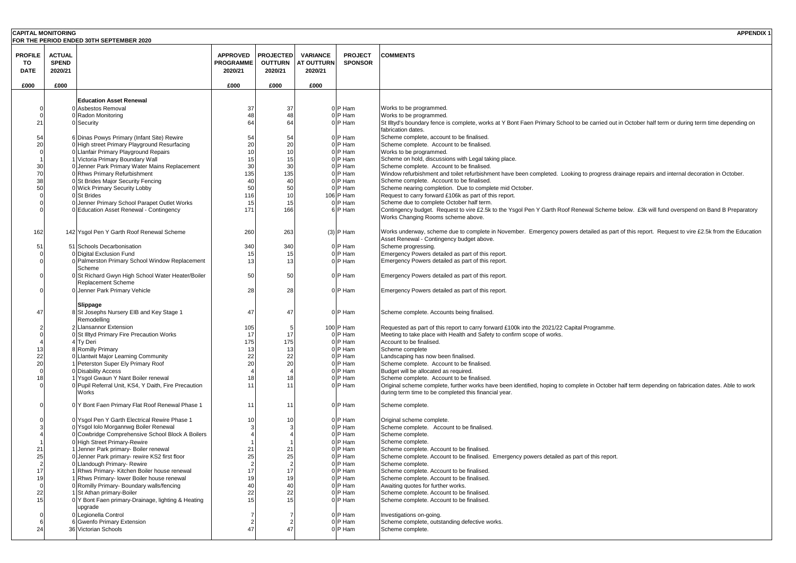| <b>CAPITAL MONITORING</b> |               |                                                                                           |                  |                  |                   |                   | <b>APPENDIX1</b>                                                                                                                                                                            |
|---------------------------|---------------|-------------------------------------------------------------------------------------------|------------------|------------------|-------------------|-------------------|---------------------------------------------------------------------------------------------------------------------------------------------------------------------------------------------|
|                           |               | FOR THE PERIOD ENDED 30TH SEPTEMBER 2020                                                  |                  |                  |                   |                   |                                                                                                                                                                                             |
|                           |               |                                                                                           |                  |                  |                   |                   |                                                                                                                                                                                             |
| <b>PROFILE</b>            | <b>ACTUAL</b> |                                                                                           | <b>APPROVED</b>  | <b>PROJECTED</b> | <b>VARIANCE</b>   | <b>PROJECT</b>    | <b>COMMENTS</b>                                                                                                                                                                             |
| то                        | <b>SPEND</b>  |                                                                                           | <b>PROGRAMME</b> | <b>OUTTURN</b>   | <b>AT OUTTURN</b> | <b>SPONSOR</b>    |                                                                                                                                                                                             |
| <b>DATE</b>               | 2020/21       |                                                                                           | 2020/21          | 2020/21          | 2020/21           |                   |                                                                                                                                                                                             |
|                           |               |                                                                                           |                  |                  |                   |                   |                                                                                                                                                                                             |
| £000                      | £000          |                                                                                           | £000             | £000             | £000              |                   |                                                                                                                                                                                             |
|                           |               |                                                                                           |                  |                  |                   |                   |                                                                                                                                                                                             |
|                           |               | <b>Education Asset Renewal</b>                                                            |                  |                  |                   |                   |                                                                                                                                                                                             |
|                           |               | 0 Asbestos Removal                                                                        | 37               | 37               |                   | 0P Ham            | Works to be programmed.                                                                                                                                                                     |
|                           |               | 0 Radon Monitoring                                                                        | 48               | 48<br>64         |                   | 0P Ham            | Works to be programmed.                                                                                                                                                                     |
| 21                        |               | 0 Security                                                                                | 64               |                  |                   | 0 P Ham           | St Illtyd's boundary fence is complete, works at Y Bont Faen Primary School to be carried out in October half term or during term time depending on<br>fabrication dates.                   |
| 54                        |               | 6 Dinas Powys Primary (Infant Site) Rewire                                                | 54               | 54               |                   | 0 P Ham           | Scheme complete, account to be finalised.                                                                                                                                                   |
| 20                        |               | 0 High street Primary Playground Resurfacing                                              | 20               | 20               |                   | 0P Ham            | Scheme complete. Account to be finalised.                                                                                                                                                   |
|                           |               | 0 Llanfair Primary Playground Repairs                                                     | 1 <sup>c</sup>   | 10               |                   | 0P Ham            | Works to be programmed.                                                                                                                                                                     |
|                           |               | 1 Victoria Primary Boundary Wall                                                          | 15               | 15               |                   | 0 P Ham           | Scheme on hold, discussions with Legal taking place.                                                                                                                                        |
| 30                        |               | 0 Jenner Park Primary Water Mains Replacement                                             | 30               | 30               |                   | 0 P Ham           | Scheme complete. Account to be finalised.                                                                                                                                                   |
| 70                        |               | 0 Rhws Primary Refurbishment                                                              | 135              | 135              |                   | 0 P Ham           | Window refurbishment and toilet refurbishment have been completed. Looking to progress drainage repairs and internal decoration in October.                                                 |
| 38                        |               | 0 St Brides Major Security Fencing                                                        | 40               | 40               |                   | 0 P Ham           | Scheme complete. Account to be finalised.                                                                                                                                                   |
| 5C                        |               | 0 Wick Primary Security Lobby                                                             | 50               | 50               |                   | 0 P Ham           | Scheme nearing completion. Due to complete mid October.                                                                                                                                     |
|                           |               | 0 St Brides                                                                               | 116              | 10               |                   | 106 P Ham         | Request to carry forward £106k as part of this report.                                                                                                                                      |
|                           |               | 0 Jenner Primary School Parapet Outlet Works                                              | 15               | 15               |                   | P Ham             | Scheme due to complete October half term.                                                                                                                                                   |
|                           |               | 0 Education Asset Renewal - Contingency                                                   | 171              | 166              |                   | 6 P Ham           | Contingency budget. Request to vire £2.5k to the Ysgol Pen Y Garth Roof Renewal Scheme below. £3k will fund overspend on Band B Preparatory                                                 |
|                           |               |                                                                                           |                  |                  |                   |                   | Works Changing Rooms scheme above.                                                                                                                                                          |
|                           |               |                                                                                           |                  |                  |                   |                   |                                                                                                                                                                                             |
| 162                       |               | 142 Ysgol Pen Y Garth Roof Renewal Scheme                                                 | 260              | 263              |                   | $(3)$ P Ham       | Works underway, scheme due to complete in November. Emergency powers detailed as part of this report. Request to vire £2.5k from the Education<br>Asset Renewal - Contingency budget above. |
| 51                        |               | 51 Schools Decarbonisation                                                                | 340              | 340              |                   | 0 P Ham           | Scheme progressing.                                                                                                                                                                         |
|                           |               | 0 Digital Exclusion Fund                                                                  | 15               | 15               |                   | 0 P Ham           | Emergency Powers detailed as part of this report.                                                                                                                                           |
|                           |               | 0 Palmerston Primary School Window Replacement                                            | 13               | 13               |                   | 0P Ham            | Emergency Powers detailed as part of this report.                                                                                                                                           |
|                           |               | Scheme                                                                                    |                  |                  |                   |                   |                                                                                                                                                                                             |
|                           |               | 0 St Richard Gwyn High School Water Heater/Boiler                                         | 50               | 50               |                   | 0 P Ham           | Emergency Powers detailed as part of this report.                                                                                                                                           |
|                           |               | Replacement Scheme                                                                        |                  |                  |                   |                   |                                                                                                                                                                                             |
|                           |               | 0 Jenner Park Primary Vehicle                                                             | 28               | 28               |                   | 0P Ham            | Emergency Powers detailed as part of this report.                                                                                                                                           |
|                           |               |                                                                                           |                  |                  |                   |                   |                                                                                                                                                                                             |
|                           |               | Slippage                                                                                  |                  |                  |                   |                   |                                                                                                                                                                                             |
| 47                        |               | 8 St Josephs Nursery EIB and Key Stage 1                                                  | 47               | 47               |                   | 0 P Ham           | Scheme complete. Accounts being finalised.                                                                                                                                                  |
|                           |               | Remodelling                                                                               |                  |                  |                   |                   |                                                                                                                                                                                             |
|                           |               | 2 Llansannor Extension                                                                    | 105              |                  |                   | 100 P Ham         | Requested as part of this report to carry forward £100k into the 2021/22 Capital Programme.                                                                                                 |
|                           |               | 0 St Illtyd Primary Fire Precaution Works                                                 | 17               | 17               |                   | 0P Ham            | Meeting to take place with Health and Safety to confirm scope of works.                                                                                                                     |
|                           |               | 4 Ty Deri                                                                                 | 175              | 175              |                   | 0P Ham            | Account to be finalised.                                                                                                                                                                    |
| 13<br>22                  |               | 8 Romilly Primary<br>0 Llantwit Major Learning Community                                  | 13               | 13               |                   | 0 P Ham<br>0P Ham | Scheme complete                                                                                                                                                                             |
| 20                        |               | 1 Peterston Super Ely Primary Roof                                                        | 22<br>20         | 22<br>20         |                   | 0 P Ham           | Landscaping has now been finalised.<br>Scheme complete. Account to be finalised.                                                                                                            |
|                           |               | 0 Disability Access                                                                       |                  |                  |                   | 0P Ham            | Budget will be allocated as required.                                                                                                                                                       |
| 18                        |               | 1 Ysgol Gwaun Y Nant Boiler renewal                                                       | 18               | 18               |                   | 0P Ham            | Scheme complete. Account to be finalised.                                                                                                                                                   |
|                           |               | 0 Pupil Referral Unit, KS4, Y Daith, Fire Precaution                                      | 1 <sup>1</sup>   | 11               |                   | 0 P Ham           | Original scheme complete, further works have been identified, hoping to complete in October half term depending on fabrication dates. Able to work                                          |
|                           |               | Works                                                                                     |                  |                  |                   |                   | during term time to be completed this financial year.                                                                                                                                       |
|                           |               |                                                                                           |                  |                  |                   |                   |                                                                                                                                                                                             |
|                           |               | 0 Y Bont Faen Primary Flat Roof Renewal Phase 1                                           | 11               | 11               |                   | 0 P Ham           | Scheme complete.                                                                                                                                                                            |
|                           |               |                                                                                           |                  |                  |                   |                   |                                                                                                                                                                                             |
|                           |               | 0 Ysgol Pen Y Garth Electrical Rewire Phase 1                                             | 1 <sup>c</sup>   | 10               |                   | 0 P Ham           | Original scheme complete.                                                                                                                                                                   |
|                           |               | 0 Ysgol Iolo Morgannwg Boiler Renewal<br>0 Cowbridge Comprehensive School Block A Boilers |                  |                  |                   | 0P Ham<br>0P Ham  | Scheme complete. Account to be finalised.<br>Scheme complete.                                                                                                                               |
|                           |               | 0 High Street Primary-Rewire                                                              |                  |                  |                   | 0 P Ham           | Scheme complete.                                                                                                                                                                            |
| 21                        |               | 1 Jenner Park primary- Boiler renewal                                                     | 21               | 21               |                   | 0 P Ham           | Scheme complete. Account to be finalised.                                                                                                                                                   |
| 25                        |               | 0 Jenner Park primary- rewire KS2 first floor                                             | 25               | 25               |                   | 0 P Ham           | Scheme complete. Account to be finalised. Emergency powers detailed as part of this report.                                                                                                 |
| 2                         |               | 0 Llandough Primary- Rewire                                                               |                  |                  |                   | 0P Ham            | Scheme complete.                                                                                                                                                                            |
| 17                        |               | 1 Rhws Primary- Kitchen Boiler house renewal                                              | 17               | 17               |                   | 0 P Ham           | Scheme complete. Account to be finalised.                                                                                                                                                   |
| 19                        |               | 1 Rhws Primary- lower Boiler house renewal                                                | 1 <sup>c</sup>   | 19               |                   | 0 P Ham           | Scheme complete. Account to be finalised.                                                                                                                                                   |
|                           |               | 0 Romilly Primary- Boundary walls/fencing                                                 | 40               | 40               |                   | 0 P Ham           | Awaiting quotes for further works.                                                                                                                                                          |
| 22                        |               | 1 St Athan primary-Boiler                                                                 | 22               | 22               |                   | 0 P Ham           | Scheme complete. Account to be finalised.                                                                                                                                                   |
| 15                        |               | 0 Y Bont Faen primary-Drainage, lighting & Heating                                        |                  |                  |                   | 0 P Ham           | Scheme complete. Account to be finalised.                                                                                                                                                   |
|                           |               | upgrade                                                                                   |                  |                  |                   |                   |                                                                                                                                                                                             |
|                           |               | 0 Legionella Control                                                                      |                  |                  |                   | 0 P Ham           | Investigations on-going.                                                                                                                                                                    |
|                           |               | 6 Gwenfo Primary Extension                                                                |                  |                  |                   | 0 P Ham           | Scheme complete, outstanding defective works.                                                                                                                                               |
| 24                        |               | 36 Victorian Schools                                                                      | 47               |                  |                   | 0P Ham            | Scheme complete.                                                                                                                                                                            |
|                           |               |                                                                                           |                  |                  |                   |                   |                                                                                                                                                                                             |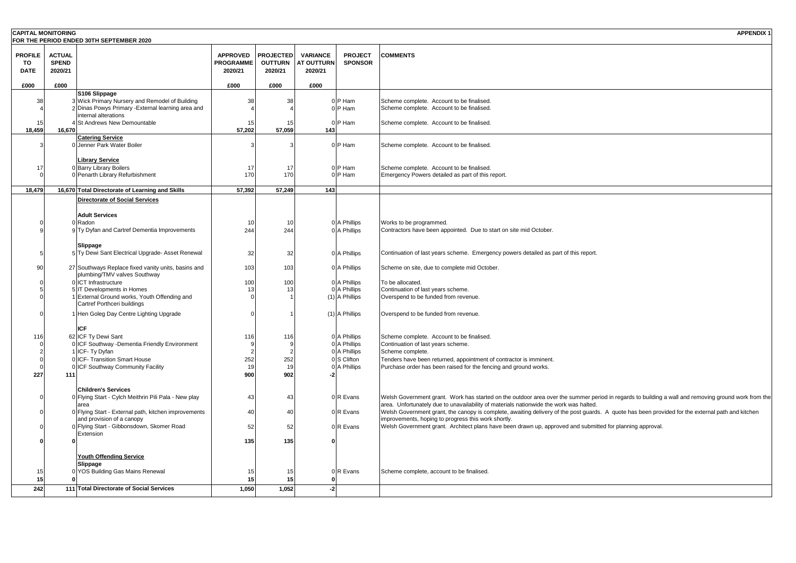| <b>CAPITAL MONITORING</b> |               | FOR THE PERIOD ENDED 30TH SEPTEMBER 2020                                           |                     |                       |                   |                              | <b>APPENDIX 1</b>                                                                                                                                                                                                                           |
|---------------------------|---------------|------------------------------------------------------------------------------------|---------------------|-----------------------|-------------------|------------------------------|---------------------------------------------------------------------------------------------------------------------------------------------------------------------------------------------------------------------------------------------|
| <b>PROFILE</b>            | <b>ACTUAL</b> |                                                                                    | <b>APPROVED</b>     | <b>PROJECTED</b>      | <b>VARIANCE</b>   | <b>PROJECT</b>               | <b>COMMENTS</b>                                                                                                                                                                                                                             |
| TO                        | <b>SPEND</b>  |                                                                                    | <b>PROGRAMME</b>    | <b>OUTTURN</b>        | <b>AT OUTTURN</b> | <b>SPONSOR</b>               |                                                                                                                                                                                                                                             |
| <b>DATE</b>               | 2020/21       |                                                                                    | 2020/21             | 2020/21               | 2020/21           |                              |                                                                                                                                                                                                                                             |
| £000                      | £000          | S106 Slippage                                                                      | £000                | £000                  | £000              |                              |                                                                                                                                                                                                                                             |
| 38                        |               | 3 Wick Primary Nursery and Remodel of Building                                     | 38                  | 38                    |                   | 0 P Ham                      | Scheme complete. Account to be finalised.                                                                                                                                                                                                   |
|                           |               | 2 Dinas Powys Primary - External learning area and<br>internal alterations         |                     |                       |                   | 0 P Ham                      | Scheme complete. Account to be finalised.                                                                                                                                                                                                   |
| $\overline{1}$<br>18,459  | 16,670        | St Andrews New Demountable                                                         | 15<br>57,202        | 15<br>57,059          | 143               | 0 P Ham                      | Scheme complete. Account to be finalised.                                                                                                                                                                                                   |
|                           |               | <b>Catering Service</b>                                                            |                     |                       |                   |                              |                                                                                                                                                                                                                                             |
|                           |               | 0 Jenner Park Water Boiler                                                         | 3                   |                       |                   | 0 P Ham                      | Scheme complete. Account to be finalised.                                                                                                                                                                                                   |
| 17                        |               | <b>Library Service</b><br>0 Barry Library Boilers                                  | 17                  | 17                    |                   | 0 P Ham                      | Scheme complete. Account to be finalised.                                                                                                                                                                                                   |
|                           |               | 0 Penarth Library Refurbishment                                                    | 170                 | 170                   |                   | 0 P Ham                      | Emergency Powers detailed as part of this report.                                                                                                                                                                                           |
| 18,479                    |               | 16,670 Total Directorate of Learning and Skills                                    | 57,392              | 57,249                | 143               |                              |                                                                                                                                                                                                                                             |
|                           |               | Directorate of Social Services                                                     |                     |                       |                   |                              |                                                                                                                                                                                                                                             |
|                           |               | <b>Adult Services</b>                                                              |                     |                       |                   |                              |                                                                                                                                                                                                                                             |
|                           |               | 0 Radon<br>9 Ty Dyfan and Cartref Dementia Improvements                            | 10<br>244           | 10<br>244             |                   | 0 A Phillips<br>0 A Phillips | Works to be programmed.<br>Contractors have been appointed. Due to start on site mid October.                                                                                                                                               |
|                           |               |                                                                                    |                     |                       |                   |                              |                                                                                                                                                                                                                                             |
|                           |               | Slippage<br>5 Ty Dewi Sant Electrical Upgrade- Asset Renewal                       | 32                  | 32                    |                   | 0 A Phillips                 | Continuation of last years scheme. Emergency powers detailed as part of this report.                                                                                                                                                        |
| 90                        |               | 27 Southways Replace fixed vanity units, basins and                                | 103                 | 103                   |                   | 0 A Phillips                 | Scheme on site, due to complete mid October.                                                                                                                                                                                                |
|                           |               | plumbing/TMV valves Southway                                                       |                     |                       |                   |                              |                                                                                                                                                                                                                                             |
|                           |               | 0 ICT Infrastructure<br>5 IT Developments in Homes                                 | 100<br>13           | 100<br>1 <sup>5</sup> |                   | 0 A Phillips<br>0 A Phillips | To be allocated.<br>Continuation of last years scheme.                                                                                                                                                                                      |
|                           |               | 1 External Ground works, Youth Offending and<br>Cartref Porthceri buildings        | $\Omega$            |                       |                   | (1) A Phillips               | Overspend to be funded from revenue.                                                                                                                                                                                                        |
|                           |               | 1 Hen Goleg Day Centre Lighting Upgrade                                            | $\Omega$            |                       |                   | (1) A Phillips               | Overspend to be funded from revenue.                                                                                                                                                                                                        |
|                           |               | ICF                                                                                |                     |                       |                   |                              |                                                                                                                                                                                                                                             |
| 116                       |               | 62 ICF Ty Dewi Sant                                                                | 116                 | 116                   |                   | 0 A Phillips                 | Scheme complete. Account to be finalised.                                                                                                                                                                                                   |
|                           |               | 0 ICF Southway -Dementia Friendly Environment<br>1 ICF- Ty Dyfan                   | 9<br>$\overline{2}$ |                       |                   | 0 A Phillips<br>0 A Phillips | Continuation of last years scheme.<br>Scheme complete.                                                                                                                                                                                      |
|                           |               | 0 ICF- Transition Smart House                                                      | 252                 | 252                   |                   | 0 S Clifton                  | Tenders have been returned, appointment of contractor is imminent.                                                                                                                                                                          |
| 227                       | 111           | ICF Southway Community Facility                                                    | 19<br>900           | 19<br>902             |                   | 0 A Phillips                 | Purchase order has been raised for the fencing and ground works.                                                                                                                                                                            |
|                           |               |                                                                                    |                     |                       |                   |                              |                                                                                                                                                                                                                                             |
|                           |               | <b>Children's Services</b><br>0 Flying Start - Cylch Meithrin Pili Pala - New play | 43                  | 43                    |                   | 0 R Evans                    | Welsh Government grant. Work has started on the outdoor area over the summer period in regards to building a wall and removing ground work from the                                                                                         |
|                           |               | area<br>0 Flying Start - External path, kitchen improvements                       | 40                  | 40                    |                   | 0 R Evans                    | area. Unfortunately due to unavailability of materials nationwide the work was halted.<br>Welsh Government grant, the canopy is complete, awaiting delivery of the post guards. A quote has been provided for the external path and kitchen |
|                           |               | and provision of a canopy                                                          |                     |                       |                   |                              | improvements, hoping to progress this work shortly.                                                                                                                                                                                         |
|                           |               | 0 Flying Start - Gibbonsdown, Skomer Road<br>Extension                             | 52                  | 52                    |                   | 0 R Evans                    | Welsh Government grant. Architect plans have been drawn up, approved and submitted for planning approval.                                                                                                                                   |
|                           | $\Omega$      |                                                                                    | 135                 | 135                   |                   |                              |                                                                                                                                                                                                                                             |
|                           |               | <b>Youth Offending Service</b>                                                     |                     |                       |                   |                              |                                                                                                                                                                                                                                             |
| 15                        |               | Slippage<br>0 YOS Building Gas Mains Renewal                                       | 15                  | 15                    |                   | 0 R Evans                    | Scheme complete, account to be finalised.                                                                                                                                                                                                   |
| 15                        |               |                                                                                    | 15                  | 15                    |                   |                              |                                                                                                                                                                                                                                             |
| 242                       |               | 111 Total Directorate of Social Services                                           | 1,050               | 1,052                 | $-2$              |                              |                                                                                                                                                                                                                                             |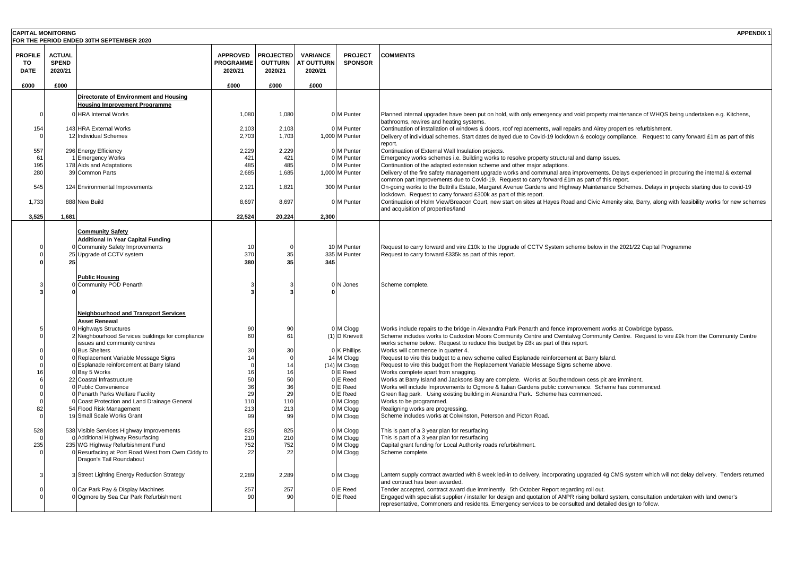| <b>CAPITAL MONITORING</b>           |                                          | FOR THE PERIOD ENDED 30TH SEPTEMBER 2020                                          |                                                |                                               |                                                 |                                  | <b>APPENDIX 1</b>                                                                                                                                                                                                                                                       |
|-------------------------------------|------------------------------------------|-----------------------------------------------------------------------------------|------------------------------------------------|-----------------------------------------------|-------------------------------------------------|----------------------------------|-------------------------------------------------------------------------------------------------------------------------------------------------------------------------------------------------------------------------------------------------------------------------|
| <b>PROFILE</b><br>TO<br><b>DATE</b> | <b>ACTUAL</b><br><b>SPEND</b><br>2020/21 |                                                                                   | <b>APPROVED</b><br><b>PROGRAMME</b><br>2020/21 | <b>PROJECTED</b><br><b>OUTTURN</b><br>2020/21 | <b>VARIANCE</b><br><b>AT OUTTURN</b><br>2020/21 | <b>PROJECT</b><br><b>SPONSOR</b> | <b>COMMENTS</b>                                                                                                                                                                                                                                                         |
| £000                                | £000                                     |                                                                                   | £000                                           | £000                                          | £000                                            |                                  |                                                                                                                                                                                                                                                                         |
|                                     |                                          | Directorate of Environment and Housing                                            |                                                |                                               |                                                 |                                  |                                                                                                                                                                                                                                                                         |
|                                     |                                          | <b>Housing Improvement Programme</b>                                              |                                                |                                               |                                                 |                                  |                                                                                                                                                                                                                                                                         |
| $\Omega$                            |                                          | 0 HRA Internal Works                                                              | 1,080                                          | 1,080                                         |                                                 | 0 M Punter                       | Planned internal upgrades have been put on hold, with only emergency and void property maintenance of WHQS being undertaken e.g. Kitchens,<br>bathrooms, rewires and heating systems.                                                                                   |
| 154                                 |                                          | 143 HRA External Works<br>12 Individual Schemes                                   | 2,103<br>2,703                                 | 2,103<br>1,703                                |                                                 | 0 M Punter<br>1,000 M Punter     | Continuation of installation of windows & doors, roof replacements, wall repairs and Airey properties refurbishment.<br>Delivery of individual schemes. Start dates delayed due to Covid-19 lockdown & ecology compliance. Request to carry forward £1m as part of this |
|                                     |                                          |                                                                                   |                                                |                                               |                                                 |                                  | report.                                                                                                                                                                                                                                                                 |
| 557                                 |                                          | 296 Energy Efficiency                                                             | 2,229                                          | 2,229                                         |                                                 | 0 M Punter                       | Continuation of External Wall Insulation projects.                                                                                                                                                                                                                      |
| 61<br>195                           |                                          | 1 Emergency Works<br>178 Aids and Adaptations                                     | 42'<br>485                                     | 421<br>485                                    |                                                 | 0 M Punter<br><b>DIM Punter</b>  | Emergency works schemes i.e. Building works to resolve property structural and damp issues.<br>Continuation of the adapted extension scheme and other major adaptions.                                                                                                  |
| 280                                 |                                          | 39 Common Parts                                                                   | 2,685                                          | 1,685                                         |                                                 | 1,000 M Punter                   | Delivery of the fire safety management upgrade works and communal area improvements. Delays experienced in procuring the internal & external                                                                                                                            |
|                                     |                                          |                                                                                   |                                                |                                               |                                                 |                                  | common part improvements due to Covid-19. Request to carry forward £1m as part of this report.                                                                                                                                                                          |
| 545                                 |                                          | 124 Environmental Improvements                                                    | 2,121                                          | 1,821                                         |                                                 | 300 M Punter                     | On-going works to the Buttrills Estate, Margaret Avenue Gardens and Highway Maintenance Schemes. Delays in projects starting due to covid-19                                                                                                                            |
| 1,733                               |                                          | 888 New Build                                                                     | 8,697                                          | 8,697                                         |                                                 | 0 M Punter                       | lockdown. Request to carry forward £300k as part of this report.<br>Continuation of Holm View/Breacon Court, new start on sites at Hayes Road and Civic Amenity site, Barry, along with feasibility works for new schemes                                               |
|                                     |                                          |                                                                                   |                                                |                                               |                                                 |                                  | and acquisition of properties/land                                                                                                                                                                                                                                      |
| 3,525                               | 1,681                                    |                                                                                   | 22,524                                         | 20,224                                        | 2.300                                           |                                  |                                                                                                                                                                                                                                                                         |
|                                     |                                          | <b>Community Safety</b>                                                           |                                                |                                               |                                                 |                                  |                                                                                                                                                                                                                                                                         |
|                                     |                                          | <b>Additional In Year Capital Funding</b>                                         |                                                |                                               |                                                 |                                  |                                                                                                                                                                                                                                                                         |
|                                     |                                          | 0 Community Safety Improvements                                                   | 10                                             |                                               |                                                 | 10 M Punter                      | Request to carry forward and vire £10k to the Upgrade of CCTV System scheme below in the 2021/22 Capital Programme                                                                                                                                                      |
|                                     | 25                                       | 25 Upgrade of CCTV system                                                         | 370<br>380                                     | 35<br>35                                      | 345                                             | 335 M Punter                     | Request to carry forward £335k as part of this report.                                                                                                                                                                                                                  |
|                                     |                                          |                                                                                   |                                                |                                               |                                                 |                                  |                                                                                                                                                                                                                                                                         |
|                                     |                                          | <b>Public Housing</b>                                                             |                                                |                                               |                                                 |                                  |                                                                                                                                                                                                                                                                         |
|                                     |                                          | 0 Community POD Penarth                                                           |                                                |                                               |                                                 | 0 N Jones                        | Scheme complete.                                                                                                                                                                                                                                                        |
|                                     |                                          |                                                                                   |                                                |                                               |                                                 |                                  |                                                                                                                                                                                                                                                                         |
|                                     |                                          |                                                                                   |                                                |                                               |                                                 |                                  |                                                                                                                                                                                                                                                                         |
|                                     |                                          | <b>Neighbourhood and Transport Services</b><br><b>Asset Renewal</b>               |                                                |                                               |                                                 |                                  |                                                                                                                                                                                                                                                                         |
|                                     |                                          | 0 Highways Structures                                                             | 90                                             | 90                                            |                                                 | 0 M Clogg                        | Works include repairs to the bridge in Alexandra Park Penarth and fence improvement works at Cowbridge bypass.                                                                                                                                                          |
|                                     |                                          | 2 Neighbourhood Services buildings for compliance                                 | 60                                             | 61                                            |                                                 | (1) D Knevett                    | Scheme includes works to Cadoxton Moors Community Centre and Cwmtalwg Community Centre. Request to vire £9k from the Community Centre                                                                                                                                   |
|                                     |                                          | issues and community centres                                                      |                                                |                                               |                                                 |                                  | works scheme below. Request to reduce this budget by £8k as part of this report.                                                                                                                                                                                        |
|                                     |                                          | 0 Bus Shelters                                                                    | 30                                             | 30                                            |                                                 | 0 K Phillips                     | Works will commence in quarter 4.                                                                                                                                                                                                                                       |
|                                     |                                          | 0 Replacement Variable Message Signs<br>0 Esplanade reinforcement at Barry Island | 14                                             | $\mathcal{C}$<br>14                           |                                                 | 14 M Clogg<br>$(14)$ M Clogg     | Request to vire this budget to a new scheme called Esplanade reinforcement at Barry Island.<br>Request to vire this budget from the Replacement Variable Message Signs scheme above.                                                                                    |
|                                     |                                          | 0 Bay 5 Works                                                                     | 16                                             | 16                                            |                                                 | 0 E Reed                         | Works complete apart from snagging.                                                                                                                                                                                                                                     |
|                                     |                                          | 22 Coastal Infrastructure                                                         | 50                                             | 50                                            |                                                 | 0 E Reed                         | Works at Barry Island and Jacksons Bay are complete. Works at Southerndown cess pit are imminent.                                                                                                                                                                       |
|                                     |                                          | 0 Public Convenience                                                              | 36                                             | 36                                            |                                                 | 0 E Reed                         | Works will include Improvements to Ogmore & Italian Gardens public convenience. Scheme has commenced.                                                                                                                                                                   |
|                                     |                                          | 0 Penarth Parks Welfare Facility                                                  | 29                                             | 29                                            |                                                 | 0 E Reed                         | Green flag park. Using existing building in Alexandra Park. Scheme has commenced.                                                                                                                                                                                       |
| 82                                  |                                          | 0 Coast Protection and Land Drainage General<br>54 Flood Risk Management          | 110<br>213                                     | 110<br>213                                    |                                                 | 0 M Clogg<br>0 M Clogg           | Works to be programmed.<br>Realigning works are progressing.                                                                                                                                                                                                            |
| $\Omega$                            |                                          | 19 Small Scale Works Grant                                                        | 99                                             | 99                                            |                                                 | 0 M Clogg                        | Scheme includes works at Colwinston, Peterson and Picton Road.                                                                                                                                                                                                          |
|                                     |                                          |                                                                                   |                                                |                                               |                                                 |                                  |                                                                                                                                                                                                                                                                         |
| 528                                 |                                          | 538 Visible Services Highway Improvements                                         | 825                                            | 825                                           |                                                 | 0 M Clogg                        | This is part of a 3 year plan for resurfacing                                                                                                                                                                                                                           |
| 235                                 |                                          | 0 Additional Highway Resurfacing<br>235 WG Highway Refurbishment Fund             | 210<br>752                                     | 210<br>752                                    |                                                 | 0 M Clogg<br>0 M Clogg           | This is part of a 3 year plan for resurfacing<br>Capital grant funding for Local Authority roads refurbishment.                                                                                                                                                         |
|                                     |                                          | 0 Resurfacing at Port Road West from Cwm Ciddy to                                 | 22                                             | 22                                            |                                                 | 0 M Clogg                        | Scheme complete.                                                                                                                                                                                                                                                        |
|                                     |                                          | Dragon's Tail Roundabout                                                          |                                                |                                               |                                                 |                                  |                                                                                                                                                                                                                                                                         |
|                                     |                                          | 3 Street Lighting Energy Reduction Strategy                                       | 2,289                                          | 2,289                                         |                                                 | 0 M Clogg                        | Lantern supply contract awarded with 8 week led-in to delivery, incorporating upgraded 4g CMS system which will not delay delivery. Tenders returned                                                                                                                    |
|                                     |                                          |                                                                                   |                                                |                                               |                                                 |                                  | and contract has been awarded.                                                                                                                                                                                                                                          |
|                                     |                                          | 0 Car Park Pay & Display Machines                                                 | 257                                            | 257                                           |                                                 | 0 E Reed                         | Tender accepted, contract award due imminently. 5th October Report regarding roll out.                                                                                                                                                                                  |
|                                     |                                          | 0 Ogmore by Sea Car Park Refurbishment                                            | 90                                             | 90                                            |                                                 | 0 E Reed                         | Engaged with specialist supplier / installer for design and quotation of ANPR rising bollard system, consultation undertaken with land owner's                                                                                                                          |
|                                     |                                          |                                                                                   |                                                |                                               |                                                 |                                  | representative, Commoners and residents. Emergency services to be consulted and detailed design to follow.                                                                                                                                                              |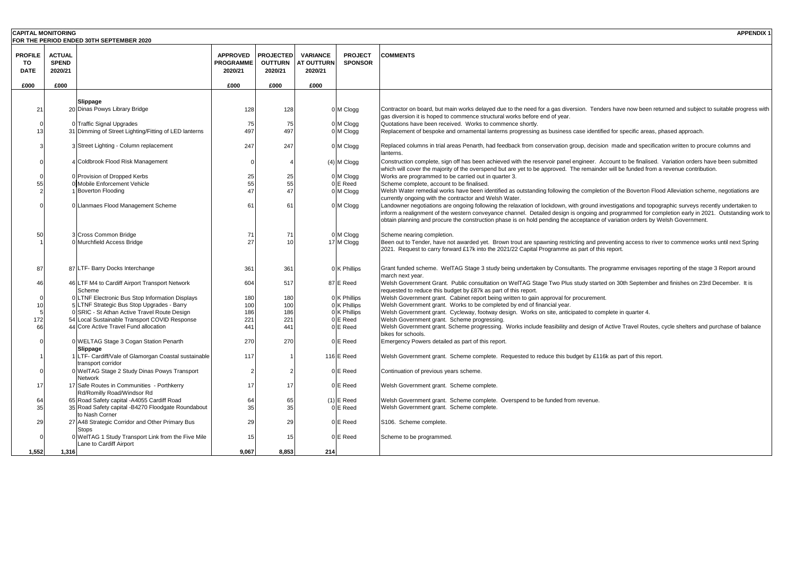| <b>CAPITAL MONITORING</b> |               |                                                                                    |                  |                  |                   |                         | <b>APPENDIX 1</b>                                                                                                                                                                                            |
|---------------------------|---------------|------------------------------------------------------------------------------------|------------------|------------------|-------------------|-------------------------|--------------------------------------------------------------------------------------------------------------------------------------------------------------------------------------------------------------|
|                           |               | FOR THE PERIOD ENDED 30TH SEPTEMBER 2020                                           |                  |                  |                   |                         |                                                                                                                                                                                                              |
| <b>PROFILE</b>            | <b>ACTUAL</b> |                                                                                    | <b>APPROVED</b>  | <b>PROJECTED</b> | <b>VARIANCE</b>   | <b>PROJECT</b>          | <b>COMMENTS</b>                                                                                                                                                                                              |
| TO                        | <b>SPEND</b>  |                                                                                    | <b>PROGRAMME</b> | <b>OUTTURN</b>   | <b>AT OUTTURN</b> | <b>SPONSOR</b>          |                                                                                                                                                                                                              |
| <b>DATE</b>               | 2020/21       |                                                                                    | 2020/21          | 2020/21          | 2020/21           |                         |                                                                                                                                                                                                              |
|                           |               |                                                                                    |                  |                  |                   |                         |                                                                                                                                                                                                              |
| £000                      | £000          |                                                                                    | £000             | £000             | £000              |                         |                                                                                                                                                                                                              |
|                           |               |                                                                                    |                  |                  |                   |                         |                                                                                                                                                                                                              |
|                           |               | Slippage                                                                           |                  |                  |                   |                         |                                                                                                                                                                                                              |
| 21                        |               | 20 Dinas Powys Library Bridge                                                      | 128              | 128              |                   | 0 M Clogg               | Contractor on board, but main works delayed due to the need for a gas diversion. Tenders have now been returned and subject to suitable progress with                                                        |
|                           |               |                                                                                    |                  |                  |                   |                         | gas diversion it is hoped to commence structural works before end of year.                                                                                                                                   |
| 13                        |               | 0 Traffic Signal Upgrades<br>31 Dimming of Street Lighting/Fitting of LED lanterns | 75<br>497        | 75<br>497        |                   | 0 M Clogg               | Quotations have been received. Works to commence shortly.                                                                                                                                                    |
|                           |               |                                                                                    |                  |                  |                   | 0 M Clogg               | Replacement of bespoke and ornamental lanterns progressing as business case identified for specific areas, phased approach.                                                                                  |
|                           |               | 3 Street Lighting - Column replacement                                             | 247              | 247              |                   | 0 M Clogg               | Replaced columns in trial areas Penarth, had feedback from conservation group, decision made and specification written to procure columns and                                                                |
|                           |               |                                                                                    |                  |                  |                   |                         | lanterns.                                                                                                                                                                                                    |
|                           |               | 4 Coldbrook Flood Risk Management                                                  | $\Omega$         |                  |                   | (4) M Clogg             | Construction complete, sign off has been achieved with the reservoir panel engineer. Account to be finalised. Variation orders have been submitted                                                           |
|                           |               |                                                                                    |                  |                  |                   |                         | which will cover the majority of the overspend but are yet to be approved. The remainder will be funded from a revenue contribution.                                                                         |
|                           |               | 0 Provision of Dropped Kerbs                                                       | 25               | 25               |                   | 0 M Clogg               | Works are programmed to be carried out in quarter 3.                                                                                                                                                         |
| 55                        |               | 0 Mobile Enforcement Vehicle                                                       | 55               | 55               |                   | 0 E Reed                | Scheme complete, account to be finalised.                                                                                                                                                                    |
|                           |               | 1 Boverton Flooding                                                                | 47               | 47               |                   | 0 M Clogg               | Welsh Water remedial works have been identified as outstanding following the completion of the Boverton Flood Alleviation scheme, negotiations are<br>currently ongoing with the contractor and Welsh Water. |
|                           |               | 0 Llanmaes Flood Management Scheme                                                 | 61               | 61               |                   | 0 M Clogg               | Landowner negotiations are ongoing following the relaxation of lockdown, with ground investigations and topographic surveys recently undertaken to                                                           |
|                           |               |                                                                                    |                  |                  |                   |                         | inform a realignment of the western conveyance channel. Detailed design is ongoing and programmed for completion early in 2021. Outstanding work to                                                          |
|                           |               |                                                                                    |                  |                  |                   |                         | obtain planning and procure the construction phase is on hold pending the acceptance of variation orders by Welsh Government.                                                                                |
|                           |               |                                                                                    |                  |                  |                   |                         |                                                                                                                                                                                                              |
| 50                        |               | 3 Cross Common Bridge<br>0 Murchfield Access Bridge                                | 71<br>27         | 71<br>10         |                   | 0 M Clogg<br>17 M Clogg | Scheme nearing completion.<br>Been out to Tender, have not awarded yet. Brown trout are spawning restricting and preventing access to river to commence works until next Spring                              |
|                           |               |                                                                                    |                  |                  |                   |                         | 2021. Request to carry forward £17k into the 2021/22 Capital Programme as part of this report.                                                                                                               |
|                           |               |                                                                                    |                  |                  |                   |                         |                                                                                                                                                                                                              |
| 87                        |               | 87 LTF- Barry Docks Interchange                                                    | 361              | 361              |                   | 0 K Phillips            | Grant funded scheme. WeITAG Stage 3 study being undertaken by Consultants. The programme envisages reporting of the stage 3 Report around                                                                    |
|                           |               |                                                                                    |                  |                  |                   |                         | march next year.                                                                                                                                                                                             |
| 46                        |               | 46 LTF M4 to Cardiff Airport Transport Network                                     | 604              | 517              |                   | 87 E Reed               | Welsh Government Grant. Public consultation on WeITAG Stage Two Plus study started on 30th September and finishes on 23rd December. It is                                                                    |
|                           |               | Scheme                                                                             |                  |                  |                   |                         | requested to reduce this budget by £87k as part of this report.                                                                                                                                              |
|                           |               | 0 LTNF Electronic Bus Stop Information Displays                                    | 180              | 180              |                   | 0 K Phillips            | Welsh Government grant. Cabinet report being written to gain approval for procurement.                                                                                                                       |
| 10                        |               | 5 LTNF Strategic Bus Stop Upgrades - Barry                                         | 100              | 100              |                   | 0 K Phillips            | Welsh Government grant. Works to be completed by end of financial year.                                                                                                                                      |
|                           |               | 0 SRIC - St Athan Active Travel Route Design                                       | 186              | 186              |                   | 0 K Phillips            | Welsh Government grant. Cycleway, footway design. Works on site, anticipated to complete in quarter 4.                                                                                                       |
| 172                       |               | 54 Local Sustainable Transport COVID Response                                      | 221              | 221              |                   | 0 E Reed                | Welsh Government grant. Scheme progressing.                                                                                                                                                                  |
| 66                        |               | 44 Core Active Travel Fund allocation                                              | 441              | 441              |                   | 0 E Reed                | Welsh Government grant. Scheme progressing. Works include feasibility and design of Active Travel Routes, cycle shelters and purchase of balance                                                             |
|                           |               |                                                                                    |                  |                  |                   |                         | bikes for schools.                                                                                                                                                                                           |
|                           |               | 0 WELTAG Stage 3 Cogan Station Penarth<br>Slippage                                 | 270              | 270              |                   | 0 E Reed                | Emergency Powers detailed as part of this report.                                                                                                                                                            |
|                           |               | 1 LTF- Cardiff/Vale of Glamorgan Coastal sustainable                               | 117              |                  |                   | 116 E Reed              | Welsh Government grant. Scheme complete. Requested to reduce this budget by £116k as part of this report.                                                                                                    |
|                           |               | transport corridor                                                                 |                  |                  |                   |                         |                                                                                                                                                                                                              |
|                           |               | 0 WelTAG Stage 2 Study Dinas Powys Transport                                       | $\overline{2}$   |                  |                   | 0 E Reed                | Continuation of previous years scheme.                                                                                                                                                                       |
|                           |               | Network                                                                            |                  |                  |                   |                         |                                                                                                                                                                                                              |
| 17                        |               | 17 Safe Routes in Communities - Porthkerry                                         | 17               | 17               |                   | 0 E Reed                | Welsh Government grant. Scheme complete.                                                                                                                                                                     |
|                           |               | Rd/Romilly Road/Windsor Rd                                                         |                  |                  |                   |                         |                                                                                                                                                                                                              |
| 64                        |               | 65 Road Safety capital -A4055 Cardiff Road                                         | 64<br>35         | 65<br>35         |                   | $(1)$ E Reed            | Welsh Government grant. Scheme complete. Overspend to be funded from revenue.                                                                                                                                |
| 35                        |               | 35 Road Safety capital -B4270 Floodgate Roundabout<br>to Nash Corner               |                  |                  |                   | 0 E Reed                | Welsh Government grant. Scheme complete.                                                                                                                                                                     |
| 29                        |               | 27 A48 Strategic Corridor and Other Primary Bus                                    | 29               | 29               |                   | 0 E Reed                | S106. Scheme complete.                                                                                                                                                                                       |
|                           |               | Stops                                                                              |                  |                  |                   |                         |                                                                                                                                                                                                              |
|                           |               | 0 WelTAG 1 Study Transport Link from the Five Mile                                 | 15               | 15               |                   | 0 E Reed                | Scheme to be programmed.                                                                                                                                                                                     |
|                           |               | Lane to Cardiff Airport                                                            |                  |                  |                   |                         |                                                                                                                                                                                                              |
| 1.552                     | 1.316         |                                                                                    | 9.067            | 8.853            | 214               |                         |                                                                                                                                                                                                              |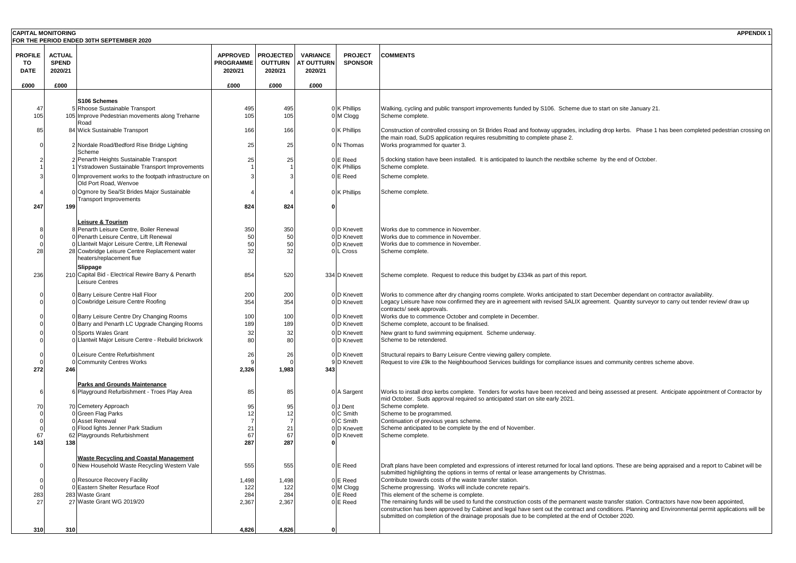| <b>CAPITAL MONITORING</b>           |                                          | FOR THE PERIOD ENDED 30TH SEPTEMBER 2020                                                               |                                                |                                               |                                                 |                                  | <b>APPENDIX 1</b>                                                                                                                                                                                                                                                                                      |
|-------------------------------------|------------------------------------------|--------------------------------------------------------------------------------------------------------|------------------------------------------------|-----------------------------------------------|-------------------------------------------------|----------------------------------|--------------------------------------------------------------------------------------------------------------------------------------------------------------------------------------------------------------------------------------------------------------------------------------------------------|
| <b>PROFILE</b><br>TO<br><b>DATE</b> | <b>ACTUAL</b><br><b>SPEND</b><br>2020/21 |                                                                                                        | <b>APPROVED</b><br><b>PROGRAMME</b><br>2020/21 | <b>PROJECTED</b><br><b>OUTTURN</b><br>2020/21 | <b>VARIANCE</b><br><b>AT OUTTURN</b><br>2020/21 | <b>PROJECT</b><br><b>SPONSOR</b> | <b>COMMENTS</b>                                                                                                                                                                                                                                                                                        |
| £000                                | £000                                     |                                                                                                        | £000                                           | £000                                          | £000                                            |                                  |                                                                                                                                                                                                                                                                                                        |
|                                     |                                          | S106 Schemes                                                                                           |                                                |                                               |                                                 |                                  |                                                                                                                                                                                                                                                                                                        |
| 47                                  |                                          | 5 Rhoose Sustainable Transport                                                                         | 495                                            | 495                                           |                                                 | 0 K Phillips                     | Walking, cycling and public transport improvements funded by S106. Scheme due to start on site January 21.                                                                                                                                                                                             |
| 105                                 |                                          | 105 Improve Pedestrian movements along Treharne                                                        | 105                                            | 105                                           |                                                 | 0 M Clogg                        | Scheme complete.                                                                                                                                                                                                                                                                                       |
| 85                                  |                                          | Road<br>84 Wick Sustainable Transport                                                                  | 166                                            | 166                                           |                                                 | 0 K Phillips                     | Construction of controlled crossing on St Brides Road and footway upgrades, including drop kerbs. Phase 1 has been completed pedestrian crossing on<br>the main road, SuDS application requires resubmitting to complete phase 2.                                                                      |
|                                     |                                          | 2 Nordale Road/Bedford Rise Bridge Lighting<br>Scheme                                                  | 25                                             | 25                                            |                                                 | 0 N Thomas                       | Works programmed for quarter 3.                                                                                                                                                                                                                                                                        |
|                                     |                                          | 2 Penarth Heights Sustainable Transport                                                                | 25                                             | 25                                            |                                                 | 0 E Reed                         | 5 docking station have been installed. It is anticipated to launch the nextbike scheme by the end of October.                                                                                                                                                                                          |
|                                     |                                          | Ystradowen Sustainable Transport Improvements<br>0 Improvement works to the footpath infrastructure on |                                                |                                               |                                                 | 0 K Phillips<br>0 E Reed         | Scheme complete.<br>Scheme complete.                                                                                                                                                                                                                                                                   |
|                                     |                                          | Old Port Road, Wenvoe                                                                                  |                                                |                                               |                                                 |                                  |                                                                                                                                                                                                                                                                                                        |
|                                     |                                          | 0 Ogmore by Sea/St Brides Major Sustainable<br><b>Transport Improvements</b>                           |                                                |                                               |                                                 | 0 K Phillips                     | Scheme complete.                                                                                                                                                                                                                                                                                       |
| 247                                 | 199                                      |                                                                                                        | 824                                            | 824                                           |                                                 |                                  |                                                                                                                                                                                                                                                                                                        |
|                                     |                                          | Leisure & Tourism                                                                                      |                                                |                                               |                                                 |                                  |                                                                                                                                                                                                                                                                                                        |
|                                     |                                          | 8 Penarth Leisure Centre, Boiler Renewal                                                               | 350                                            | 350                                           |                                                 | 0 D Knevett                      | Works due to commence in November.                                                                                                                                                                                                                                                                     |
| $\Omega$                            |                                          | 0 Penarth Leisure Centre, Lift Renewal                                                                 | 50                                             | 50                                            |                                                 | 0 D Knevett                      | Works due to commence in November.                                                                                                                                                                                                                                                                     |
| 28                                  |                                          | 0 Llantwit Major Leisure Centre, Lift Renewal<br>28 Cowbridge Leisure Centre Replacement water         | 50<br>32                                       | 50<br>32                                      |                                                 | 0 D Knevett<br>0 L Cross         | Works due to commence in November.<br>Scheme complete.                                                                                                                                                                                                                                                 |
|                                     |                                          | heaters/replacement flue                                                                               |                                                |                                               |                                                 |                                  |                                                                                                                                                                                                                                                                                                        |
|                                     |                                          | Slippage                                                                                               |                                                |                                               |                                                 |                                  |                                                                                                                                                                                                                                                                                                        |
| 236                                 |                                          | 210 Capital Bid - Electrical Rewire Barry & Penarth<br>Leisure Centres                                 | 854                                            | 520                                           |                                                 | 334 D Knevett                    | Scheme complete. Request to reduce this budget by £334k as part of this report.                                                                                                                                                                                                                        |
|                                     |                                          | 0 Barry Leisure Centre Hall Floor                                                                      | 200                                            | 200                                           |                                                 | 0 D Knevett                      | Works to commence after dry changing rooms complete. Works anticipated to start December dependant on contractor availability.                                                                                                                                                                         |
|                                     |                                          | 0 Cowbridge Leisure Centre Roofing                                                                     | 354                                            | 354                                           |                                                 | 0 D Knevett                      | Legacy Leisure have now confirmed they are in agreement with revised SALIX agreement. Quantity surveyor to carry out tender review/ draw up                                                                                                                                                            |
|                                     |                                          | 0 Barry Leisure Centre Dry Changing Rooms                                                              | 100                                            | 100                                           |                                                 | 0 D Knevett                      | contracts/ seek approvals.<br>Works due to commence October and complete in December.                                                                                                                                                                                                                  |
|                                     |                                          | 0 Barry and Penarth LC Upgrade Changing Rooms                                                          | 189                                            | 189                                           |                                                 | 0 D Knevett                      | Scheme complete, account to be finalised.                                                                                                                                                                                                                                                              |
|                                     |                                          | 0 Sports Wales Grant                                                                                   | 32                                             | 32                                            |                                                 | 0 D Knevett                      | New grant to fund swimming equipment. Scheme underway.                                                                                                                                                                                                                                                 |
|                                     |                                          | 0 Llantwit Major Leisure Centre - Rebuild brickwork                                                    | 80                                             | 80                                            |                                                 | 0 D Knevett                      | Scheme to be retendered.                                                                                                                                                                                                                                                                               |
|                                     |                                          | 0 Leisure Centre Refurbishment                                                                         | 26                                             | 26                                            |                                                 | 0 D Knevett                      | Structural repairs to Barry Leisure Centre viewing gallery complete.                                                                                                                                                                                                                                   |
|                                     |                                          | 0 Community Centres Works                                                                              |                                                |                                               |                                                 | 9 D Knevett                      | Request to vire £9k to the Neighbourhood Services buildings for compliance issues and community centres scheme above.                                                                                                                                                                                  |
| 272                                 | 246                                      |                                                                                                        | 2,326                                          | 1,983                                         | 343                                             |                                  |                                                                                                                                                                                                                                                                                                        |
|                                     |                                          | <b>Parks and Grounds Maintenance</b>                                                                   |                                                |                                               |                                                 |                                  |                                                                                                                                                                                                                                                                                                        |
|                                     |                                          | 6 Playground Refurbishment - Troes Play Area                                                           | 85                                             | 85                                            |                                                 | 0 A Sargent                      | Works to install drop kerbs complete. Tenders for works have been received and being assessed at present. Anticipate appointment of Contractor by<br>mid October. Suds approval required so anticipated start on site early 2021.                                                                      |
| 70                                  |                                          | 70 Cemetery Approach                                                                                   | 95                                             | 95                                            |                                                 | 0 J Dent                         | Scheme complete.                                                                                                                                                                                                                                                                                       |
|                                     |                                          | 0 Green Flag Parks                                                                                     | 12                                             | 12                                            |                                                 | 0 C Smith                        | Scheme to be programmed.                                                                                                                                                                                                                                                                               |
|                                     |                                          | 0 Asset Renewal                                                                                        |                                                |                                               |                                                 | 0 C Smith                        | Continuation of previous years scheme.                                                                                                                                                                                                                                                                 |
|                                     |                                          | 0 Flood lights Jenner Park Stadium                                                                     | 21                                             | 21                                            |                                                 | 0 D Knevett                      | Scheme anticipated to be complete by the end of November.                                                                                                                                                                                                                                              |
| 67                                  |                                          | 62 Playgrounds Refurbishment                                                                           | 67                                             | 67                                            |                                                 | 0 D Knevett                      | Scheme complete.                                                                                                                                                                                                                                                                                       |
| 143                                 | 138                                      |                                                                                                        | 287                                            | 287                                           |                                                 |                                  |                                                                                                                                                                                                                                                                                                        |
|                                     |                                          | <b>Waste Recycling and Coastal Management</b>                                                          |                                                |                                               |                                                 |                                  |                                                                                                                                                                                                                                                                                                        |
|                                     |                                          | 0 New Household Waste Recycling Western Vale                                                           | 555                                            | 555                                           |                                                 | 0 E Reed                         | Draft plans have been completed and expressions of interest returned for local land options. These are being appraised and a report to Cabinet will be<br>submitted highlighting the options in terms of rental or lease arrangements by Christmas.                                                    |
|                                     |                                          | 0 Resource Recovery Facility                                                                           | 1,498                                          | 1,498                                         |                                                 | 0 E Reed                         | Contribute towards costs of the waste transfer station.                                                                                                                                                                                                                                                |
|                                     |                                          | 0 Eastern Shelter Resurface Roof                                                                       | 122                                            | 122                                           |                                                 | 0 M Clogg                        | Scheme progressing. Works will include concrete repair's.                                                                                                                                                                                                                                              |
| 283                                 |                                          | 283 Waste Grant                                                                                        | 284                                            | 284                                           |                                                 | 0 E Reed                         | This element of the scheme is complete.                                                                                                                                                                                                                                                                |
| 27                                  |                                          | 27 Waste Grant WG 2019/20                                                                              | 2,367                                          | 2,367                                         |                                                 | 0 E Reed                         | The remaining funds will be used to fund the construction costs of the permanent waste transfer station. Contractors have now been appointed,<br>construction has been approved by Cabinet and legal have sent out the contract and conditions. Planning and Environmental permit applications will be |
|                                     |                                          |                                                                                                        |                                                |                                               |                                                 |                                  | submitted on completion of the drainage proposals due to be completed at the end of October 2020.                                                                                                                                                                                                      |
| 310                                 | 310                                      |                                                                                                        | 4,826                                          | 4,826                                         |                                                 |                                  |                                                                                                                                                                                                                                                                                                        |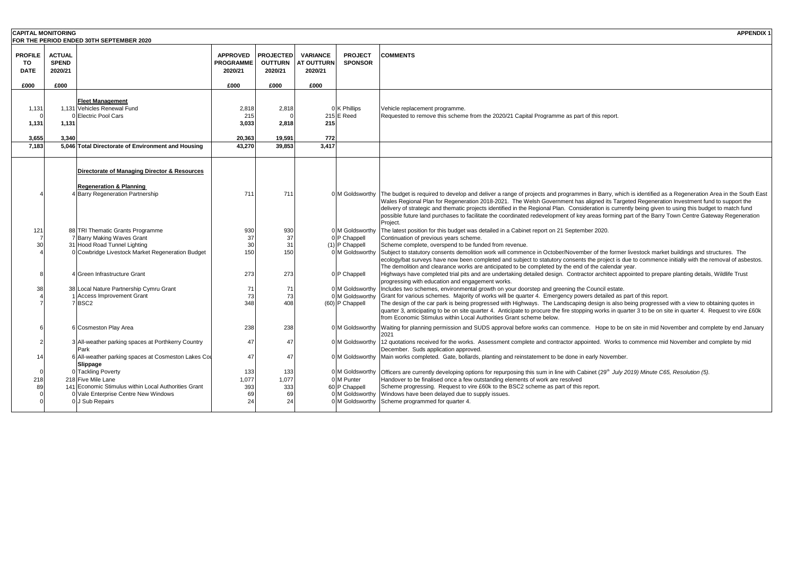| <b>CAPITAL MONITORING</b>           |                                          | FOR THE PERIOD ENDED 30TH SEPTEMBER 2020                                                                               |                                                |                                               |                                                 |                                    | <b>APPENDIX 1</b>                                                                                                                                                                                                                                                                                                                                                                                                                                                                                                                                                                                                    |
|-------------------------------------|------------------------------------------|------------------------------------------------------------------------------------------------------------------------|------------------------------------------------|-----------------------------------------------|-------------------------------------------------|------------------------------------|----------------------------------------------------------------------------------------------------------------------------------------------------------------------------------------------------------------------------------------------------------------------------------------------------------------------------------------------------------------------------------------------------------------------------------------------------------------------------------------------------------------------------------------------------------------------------------------------------------------------|
| <b>PROFILE</b><br>TO<br><b>DATE</b> | <b>ACTUAL</b><br><b>SPEND</b><br>2020/21 |                                                                                                                        | <b>APPROVED</b><br><b>PROGRAMME</b><br>2020/21 | <b>PROJECTED</b><br><b>OUTTURN</b><br>2020/21 | <b>VARIANCE</b><br><b>AT OUTTURN</b><br>2020/21 | <b>PROJECT</b><br><b>SPONSOR</b>   | <b>COMMENTS</b>                                                                                                                                                                                                                                                                                                                                                                                                                                                                                                                                                                                                      |
| £000                                | £000                                     |                                                                                                                        | £000                                           | £000                                          | £000                                            |                                    |                                                                                                                                                                                                                                                                                                                                                                                                                                                                                                                                                                                                                      |
| 1,131<br>1,131<br>3.655             | 1,131<br>3.340                           | <b>Fleet Management</b><br>1,131 Vehicles Renewal Fund<br>0 Electric Pool Cars                                         | 2,818<br>215<br>3,033<br>20.363                | 2,818<br>2,818<br>19.591                      | 215<br>772                                      | 0 K Phillips<br>215 E Reed         | Vehicle replacement programme.<br>Requested to remove this scheme from the 2020/21 Capital Programme as part of this report.                                                                                                                                                                                                                                                                                                                                                                                                                                                                                         |
| 7.183                               |                                          | 5,046 Total Directorate of Environment and Housing                                                                     | 43.270                                         | 39.853                                        | 3.417                                           |                                    |                                                                                                                                                                                                                                                                                                                                                                                                                                                                                                                                                                                                                      |
|                                     |                                          | Directorate of Managing Director & Resources<br><b>Regeneration &amp; Planning</b><br>4 Barry Regeneration Partnership | 711                                            | 711                                           |                                                 | 0 M Goldsworthy                    | The budget is required to develop and deliver a range of projects and programmes in Barry, which is identified as a Regeneration Area in the South East<br>Wales Regional Plan for Regeneration 2018-2021. The Welsh Government has aligned its Targeted Regeneration Investment fund to support the<br>delivery of strategic and thematic projects identified in the Regional Plan. Consideration is currently being given to using this budget to match fund<br>possible future land purchases to facilitate the coordinated redevelopment of key areas forming part of the Barry Town Centre Gateway Regeneration |
| 121                                 |                                          | 88 TRI Thematic Grants Programme                                                                                       | 930                                            | 930                                           |                                                 | 0 M Goldsworthy                    | Project.<br>The latest position for this budget was detailed in a Cabinet report on 21 September 2020.                                                                                                                                                                                                                                                                                                                                                                                                                                                                                                               |
|                                     |                                          | 7 Barry Making Waves Grant                                                                                             | 37                                             | 37                                            |                                                 | 0 P Chappell                       | Continuation of previous years scheme.                                                                                                                                                                                                                                                                                                                                                                                                                                                                                                                                                                               |
| 30                                  |                                          | 31 Hood Road Tunnel Lighting                                                                                           | 30                                             | 31                                            |                                                 | (1) P Chappell                     | Scheme complete, overspend to be funded from revenue.                                                                                                                                                                                                                                                                                                                                                                                                                                                                                                                                                                |
|                                     |                                          | 0 Cowbridge Livestock Market Regeneration Budget                                                                       | 150                                            | 150                                           |                                                 | 0 M Goldsworthy                    | Subject to statutory consents demolition work will commence in October/November of the former livestock market buildings and structures. The<br>ecology/bat surveys have now been completed and subject to statutory consents the project is due to commence initially with the removal of asbestos.<br>The demolition and clearance works are anticipated to be completed by the end of the calendar year.                                                                                                                                                                                                          |
|                                     |                                          | 4 Green Infrastructure Grant                                                                                           | 273                                            | 273                                           |                                                 | 0 P Chappell                       | Highways have completed trial pits and are undertaking detailed design. Contractor architect appointed to prepare planting details, Wildlife Trust<br>progressing with education and engagement works.                                                                                                                                                                                                                                                                                                                                                                                                               |
| 38                                  |                                          | 38 Local Nature Partnership Cymru Grant                                                                                | 71                                             | 71                                            |                                                 | 0 M Goldsworthy                    | Includes two schemes, environmental growth on your doorstep and greening the Council estate.                                                                                                                                                                                                                                                                                                                                                                                                                                                                                                                         |
|                                     |                                          | <b>Access Improvement Grant</b><br>7BSC <sub>2</sub>                                                                   | 73<br>348                                      | 73<br>408                                     |                                                 | M Goldsworthy<br>(60) P Chappell   | Grant for various schemes. Majority of works will be quarter 4. Emergency powers detailed as part of this report.<br>The design of the car park is being progressed with Highways. The Landscaping design is also being progressed with a view to obtaining quotes in<br>quarter 3, anticipating to be on site quarter 4. Anticipate to procure the fire stopping works in quarter 3 to be on site in quarter 4. Request to vire £60k<br>from Economic Stimulus within Local Authorities Grant scheme below.                                                                                                         |
|                                     |                                          | 6 Cosmeston Play Area                                                                                                  | 238                                            | 238                                           |                                                 | 0 M Goldsworthy                    | Waiting for planning permission and SUDS approval before works can commence. Hope to be on site in mid November and complete by end January<br>2021                                                                                                                                                                                                                                                                                                                                                                                                                                                                  |
|                                     |                                          | 3 All-weather parking spaces at Porthkerry Country<br>Park                                                             | 47                                             | 47                                            |                                                 | 0 M Goldsworthy                    | 12 quotations received for the works. Assessment complete and contractor appointed. Works to commence mid November and complete by mid<br>December. Suds application approved.                                                                                                                                                                                                                                                                                                                                                                                                                                       |
| $\overline{1}$                      |                                          | 6 All-weather parking spaces at Cosmeston Lakes Cou<br>Slippage                                                        | 47                                             | 47                                            |                                                 | 0 M Goldsworthy                    | Main works completed. Gate, bollards, planting and reinstatement to be done in early November.                                                                                                                                                                                                                                                                                                                                                                                                                                                                                                                       |
|                                     |                                          | 0 Tackling Poverty                                                                                                     | 133                                            | 133                                           |                                                 |                                    | 0 M Goldsworthy Officers are currently developing options for repurposing this sum in line with Cabinet (29 <sup>th</sup> July 2019) Minute C65, Resolution (5).                                                                                                                                                                                                                                                                                                                                                                                                                                                     |
| 218                                 |                                          | 218 Five Mile Lane                                                                                                     | 1,077                                          | 1,077                                         |                                                 | 0 M Punter                         | Handover to be finalised once a few outstanding elements of work are resolved                                                                                                                                                                                                                                                                                                                                                                                                                                                                                                                                        |
| 89                                  |                                          | 141 Economic Stimulus within Local Authorities Grant                                                                   | 393                                            | 333                                           |                                                 | 60 P Chappell                      | Scheme progressing. Request to vire £60k to the BSC2 scheme as part of this report.                                                                                                                                                                                                                                                                                                                                                                                                                                                                                                                                  |
|                                     |                                          | 0 Vale Enterprise Centre New Windows<br>0 J Sub Repairs                                                                | 69<br>24                                       | 69<br>24                                      |                                                 | 0 M Goldsworthy<br>0 M Goldsworthy | Windows have been delayed due to supply issues.<br>Scheme programmed for quarter 4.                                                                                                                                                                                                                                                                                                                                                                                                                                                                                                                                  |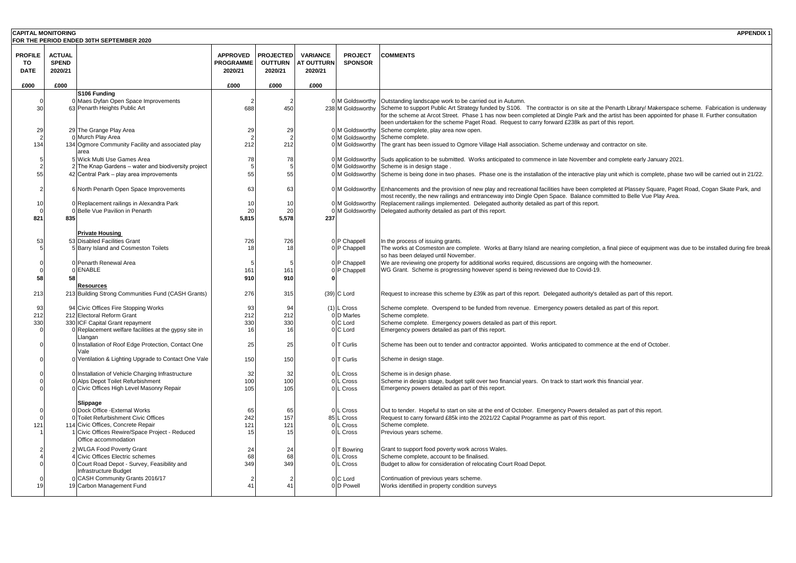|                                          | <b>CAPITAL MONITORING</b><br><b>APPENDIX 1</b> |                                                                                                                                                                                                    |                                                |                                               |                                                 |                                             |                                                                                                                                                                                                                                                                                                                                                                                                                                                                                                          |  |  |  |  |
|------------------------------------------|------------------------------------------------|----------------------------------------------------------------------------------------------------------------------------------------------------------------------------------------------------|------------------------------------------------|-----------------------------------------------|-------------------------------------------------|---------------------------------------------|----------------------------------------------------------------------------------------------------------------------------------------------------------------------------------------------------------------------------------------------------------------------------------------------------------------------------------------------------------------------------------------------------------------------------------------------------------------------------------------------------------|--|--|--|--|
| FOR THE PERIOD ENDED 30TH SEPTEMBER 2020 |                                                |                                                                                                                                                                                                    |                                                |                                               |                                                 |                                             |                                                                                                                                                                                                                                                                                                                                                                                                                                                                                                          |  |  |  |  |
| <b>PROFILE</b><br>TO<br><b>DATE</b>      | <b>ACTUAL</b><br><b>SPEND</b><br>2020/21       |                                                                                                                                                                                                    | <b>APPROVED</b><br><b>PROGRAMME</b><br>2020/21 | <b>PROJECTED</b><br><b>OUTTURN</b><br>2020/21 | <b>VARIANCE</b><br><b>AT OUTTURN</b><br>2020/21 | <b>PROJECT</b><br><b>SPONSOR</b>            | <b>COMMENTS</b>                                                                                                                                                                                                                                                                                                                                                                                                                                                                                          |  |  |  |  |
| £000                                     | £000                                           |                                                                                                                                                                                                    | £000                                           | £000                                          | £000                                            |                                             |                                                                                                                                                                                                                                                                                                                                                                                                                                                                                                          |  |  |  |  |
| 30                                       |                                                | S106 Funding<br>0 Maes Dyfan Open Space Improvements<br>63 Penarth Heights Public Art                                                                                                              | 2<br>688                                       | 450                                           |                                                 |                                             | M Goldsworthy Outstanding landscape work to be carried out in Autumn.<br>238 M Goldsworthy Scheme to support Public Art Strategy funded by S106. The contractor is on site at the Penarth Library/ Makerspace scheme. Fabrication is underway<br>for the scheme at Arcot Street. Phase 1 has now been completed at Dingle Park and the artist has been appointed for phase II. Further consultation<br>been undertaken for the scheme Paget Road. Request to carry forward £238k as part of this report. |  |  |  |  |
| 29                                       |                                                | 29 The Grange Play Area<br>0 Murch Play Area                                                                                                                                                       | 29<br>$\overline{2}$                           | 29<br>$\overline{2}$                          |                                                 | 0 M Goldsworthy<br>0 M Goldsworthy          | Scheme complete, play area now open.<br>Scheme complete.                                                                                                                                                                                                                                                                                                                                                                                                                                                 |  |  |  |  |
| 134                                      |                                                | 134 Ogmore Community Facility and associated play<br>area                                                                                                                                          | 212                                            | 212                                           |                                                 |                                             | 0 M Goldsworthy The grant has been issued to Ogmore Village Hall association. Scheme underway and contractor on site.                                                                                                                                                                                                                                                                                                                                                                                    |  |  |  |  |
|                                          |                                                | 5 Wick Multi Use Games Area<br>2 The Knap Gardens - water and biodiversity project                                                                                                                 | 78<br>5                                        | 78<br>5                                       |                                                 | M Goldsworthy                               | 0 M Goldsworthy Suds application to be submitted. Works anticipated to commence in late November and complete early January 2021.<br>Scheme is in design stage.                                                                                                                                                                                                                                                                                                                                          |  |  |  |  |
| 55                                       |                                                | 42 Central Park - play area improvements                                                                                                                                                           | 55                                             | 55                                            |                                                 |                                             | 0 M Goldsworthy Scheme is being done in two phases. Phase one is the installation of the interactive play unit which is complete, phase two will be carried out in 21/22.                                                                                                                                                                                                                                                                                                                                |  |  |  |  |
|                                          |                                                | 6 North Penarth Open Space Improvements                                                                                                                                                            | 63                                             | 63                                            |                                                 |                                             | 0 M Goldsworthy Enhancements and the provision of new play and recreational facilities have been completed at Plassey Square, Paget Road, Cogan Skate Park, and<br>most recently, the new railings and entranceway into Dingle Open Space. Balance committed to Belle Vue Play Area.                                                                                                                                                                                                                     |  |  |  |  |
| 10<br>821                                | 835                                            | 0 Replacement railings in Alexandra Park<br>0 Belle Vue Pavilion in Penarth                                                                                                                        | 10<br>20<br>5,815                              | 10<br>20<br>5,578                             | 237                                             |                                             | 0 M Goldsworthy Replacement railings implemented. Delegated authority detailed as part of this report.<br>M Goldsworthy Delegated authority detailed as part of this report.                                                                                                                                                                                                                                                                                                                             |  |  |  |  |
| 53                                       |                                                | <b>Private Housing</b><br>53 Disabled Facilities Grant                                                                                                                                             | 726                                            | 726                                           |                                                 | 0 P Chappell                                | In the process of issuing grants.                                                                                                                                                                                                                                                                                                                                                                                                                                                                        |  |  |  |  |
|                                          |                                                | 5 Barry Island and Cosmeston Toilets                                                                                                                                                               | 18                                             | 18                                            |                                                 | 0 P Chappell                                | The works at Cosmeston are complete. Works at Barry Island are nearing completion, a final piece of equipment was due to be installed during fire break<br>so has been delayed until November.                                                                                                                                                                                                                                                                                                           |  |  |  |  |
| 58                                       | 58                                             | 0 Penarth Renewal Area<br>0 ENABLE                                                                                                                                                                 | -5<br>161<br>910                               | 161<br>910                                    |                                                 | 0 P Chappell<br>0 P Chappell                | We are reviewing one property for additional works required, discussions are ongoing with the homeowner.<br>WG Grant. Scheme is progressing however spend is being reviewed due to Covid-19.                                                                                                                                                                                                                                                                                                             |  |  |  |  |
| 213                                      |                                                | <u>Resources</u><br>213 Building Strong Communities Fund (CASH Grants)                                                                                                                             | 276                                            | 315                                           |                                                 | (39) C Lord                                 | Request to increase this scheme by £39k as part of this report. Delegated authority's detailed as part of this report.                                                                                                                                                                                                                                                                                                                                                                                   |  |  |  |  |
| 93                                       |                                                | 94 Civic Offices Fire Stopping Works                                                                                                                                                               | 93                                             | 94                                            |                                                 | $(1)$ L Cross                               | Scheme complete. Overspend to be funded from revenue. Emergency powers detailed as part of this report.                                                                                                                                                                                                                                                                                                                                                                                                  |  |  |  |  |
| 212<br>330                               |                                                | 212 Electoral Reform Grant<br>330 ICF Capital Grant repayment                                                                                                                                      | 212<br>330                                     | 212<br>330                                    |                                                 | 0 D Marles<br>0 C Lord                      | Scheme complete.<br>Scheme complete. Emergency powers detailed as part of this report.                                                                                                                                                                                                                                                                                                                                                                                                                   |  |  |  |  |
|                                          |                                                | 0 Replacement welfare facilities at the gypsy site in<br>Llangan                                                                                                                                   | 16                                             | 16                                            |                                                 | 0 C Lord                                    | Emergency powers detailed as part of this report.                                                                                                                                                                                                                                                                                                                                                                                                                                                        |  |  |  |  |
|                                          |                                                | 0 Installation of Roof Edge Protection, Contact One<br>Vale                                                                                                                                        | 25                                             | 25                                            |                                                 | 0 T Curlis                                  | Scheme has been out to tender and contractor appointed. Works anticipated to commence at the end of October.                                                                                                                                                                                                                                                                                                                                                                                             |  |  |  |  |
|                                          |                                                | 0 Ventilation & Lighting Upgrade to Contact One Vale                                                                                                                                               | 150                                            | 150                                           |                                                 | 0 T Curlis                                  | Scheme in design stage.                                                                                                                                                                                                                                                                                                                                                                                                                                                                                  |  |  |  |  |
|                                          |                                                | 0 Installation of Vehicle Charging Infrastructure<br>0 Alps Depot Toilet Refurbishment<br>0 Civic Offices High Level Masonry Repair                                                                | 32<br>100<br>105                               | 32<br>100<br>105                              |                                                 | 0 L Cross<br>L Cross<br>L Cross             | Scheme is in design phase.<br>Scheme in design stage, budget split over two financial years. On track to start work this financial year.<br>Emergency powers detailed as part of this report.                                                                                                                                                                                                                                                                                                            |  |  |  |  |
| 121                                      |                                                | Slippage<br>0 Dock Office - External Works<br>0 Toilet Refurbishment Civic Offices<br>114 Civic Offices, Concrete Repair<br>1 Civic Offices Rewire/Space Project - Reduced<br>Office accommodation | 65<br>242<br>121<br>15                         | 65<br>157<br>121<br>15                        |                                                 | L Cross<br>85 L Cross<br>Cross<br>0 L Cross | Out to tender. Hopeful to start on site at the end of October. Emergency Powers detailed as part of this report.<br>Request to carry forward £85k into the 2021/22 Capital Programme as part of this report.<br>Scheme complete.<br>Previous years scheme.                                                                                                                                                                                                                                               |  |  |  |  |
|                                          |                                                | 2 WLGA Food Poverty Grant<br>4 Civic Offices Electric schemes<br>0 Court Road Depot - Survey, Feasibility and<br>Infrastructure Budget                                                             | 24<br>68<br>349                                | 24<br>68<br>349                               |                                                 | 0 T Bowring<br>Cross<br>0 L Cross           | Grant to support food poverty work across Wales.<br>Scheme complete, account to be finalised.<br>Budget to allow for consideration of relocating Court Road Depot.                                                                                                                                                                                                                                                                                                                                       |  |  |  |  |
| 15                                       |                                                | 0 CASH Community Grants 2016/17<br>19 Carbon Management Fund                                                                                                                                       | $\overline{2}$<br>41                           | 41                                            |                                                 | 0 C Lord<br>0 D Powell                      | Continuation of previous years scheme.<br>Works identified in property condition surveys                                                                                                                                                                                                                                                                                                                                                                                                                 |  |  |  |  |